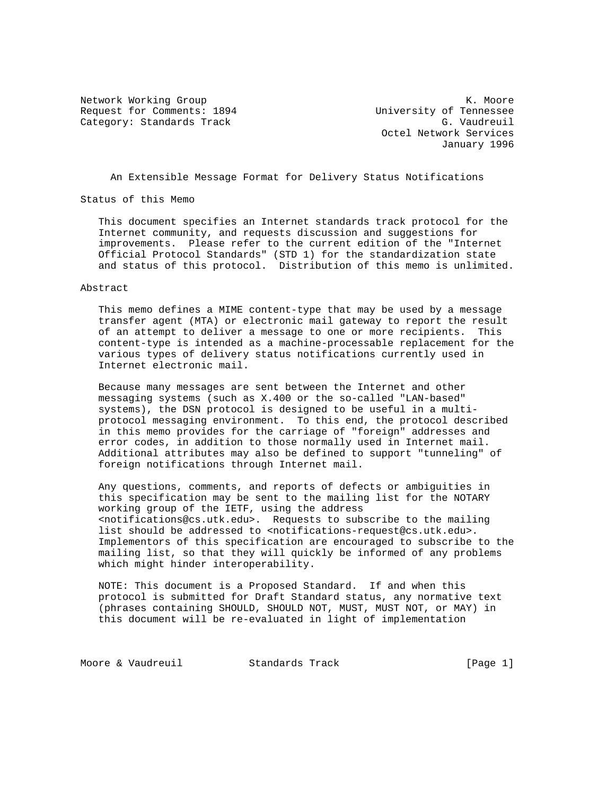Request for Comments: 1894 University of Tennessee Category: Standards Track G. Vaudreuil

Network Working Group Network Working Group Network Network Network Network Network Network Network Network Ne Octel Network Services January 1996

An Extensible Message Format for Delivery Status Notifications

Status of this Memo

 This document specifies an Internet standards track protocol for the Internet community, and requests discussion and suggestions for improvements. Please refer to the current edition of the "Internet Official Protocol Standards" (STD 1) for the standardization state and status of this protocol. Distribution of this memo is unlimited.

### Abstract

 This memo defines a MIME content-type that may be used by a message transfer agent (MTA) or electronic mail gateway to report the result of an attempt to deliver a message to one or more recipients. This content-type is intended as a machine-processable replacement for the various types of delivery status notifications currently used in Internet electronic mail.

 Because many messages are sent between the Internet and other messaging systems (such as X.400 or the so-called "LAN-based" systems), the DSN protocol is designed to be useful in a multi protocol messaging environment. To this end, the protocol described in this memo provides for the carriage of "foreign" addresses and error codes, in addition to those normally used in Internet mail. Additional attributes may also be defined to support "tunneling" of foreign notifications through Internet mail.

 Any questions, comments, and reports of defects or ambiguities in this specification may be sent to the mailing list for the NOTARY working group of the IETF, using the address <notifications@cs.utk.edu>. Requests to subscribe to the mailing list should be addressed to <notifications-request@cs.utk.edu>. Implementors of this specification are encouraged to subscribe to the mailing list, so that they will quickly be informed of any problems which might hinder interoperability.

 NOTE: This document is a Proposed Standard. If and when this protocol is submitted for Draft Standard status, any normative text (phrases containing SHOULD, SHOULD NOT, MUST, MUST NOT, or MAY) in this document will be re-evaluated in light of implementation

Moore & Vaudreuil Standards Track [Page 1]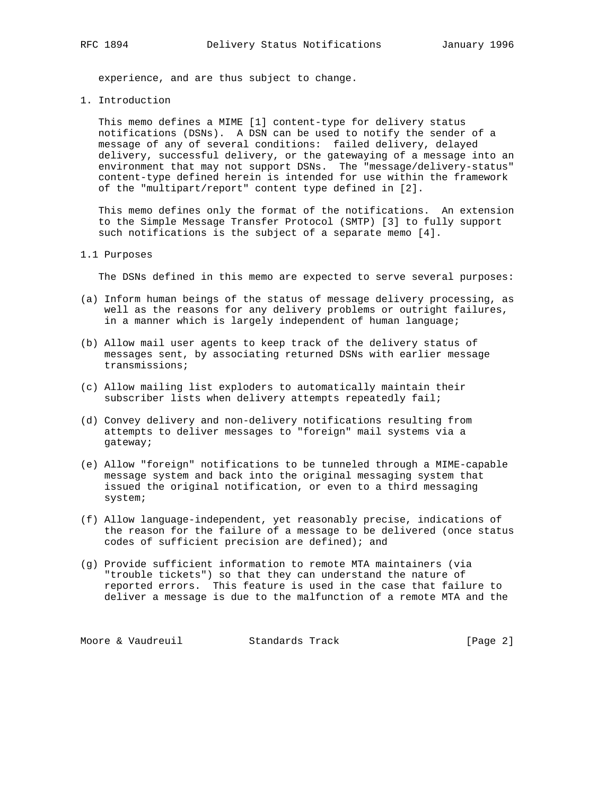experience, and are thus subject to change.

1. Introduction

 This memo defines a MIME [1] content-type for delivery status notifications (DSNs). A DSN can be used to notify the sender of a message of any of several conditions: failed delivery, delayed delivery, successful delivery, or the gatewaying of a message into an environment that may not support DSNs. The "message/delivery-status" content-type defined herein is intended for use within the framework of the "multipart/report" content type defined in [2].

 This memo defines only the format of the notifications. An extension to the Simple Message Transfer Protocol (SMTP) [3] to fully support such notifications is the subject of a separate memo [4].

## 1.1 Purposes

The DSNs defined in this memo are expected to serve several purposes:

- (a) Inform human beings of the status of message delivery processing, as well as the reasons for any delivery problems or outright failures, in a manner which is largely independent of human language;
- (b) Allow mail user agents to keep track of the delivery status of messages sent, by associating returned DSNs with earlier message transmissions;
- (c) Allow mailing list exploders to automatically maintain their subscriber lists when delivery attempts repeatedly fail;
- (d) Convey delivery and non-delivery notifications resulting from attempts to deliver messages to "foreign" mail systems via a gateway;
- (e) Allow "foreign" notifications to be tunneled through a MIME-capable message system and back into the original messaging system that issued the original notification, or even to a third messaging system;
- (f) Allow language-independent, yet reasonably precise, indications of the reason for the failure of a message to be delivered (once status codes of sufficient precision are defined); and
- (g) Provide sufficient information to remote MTA maintainers (via "trouble tickets") so that they can understand the nature of reported errors. This feature is used in the case that failure to deliver a message is due to the malfunction of a remote MTA and the

Moore & Vaudreuil Standards Track [Page 2]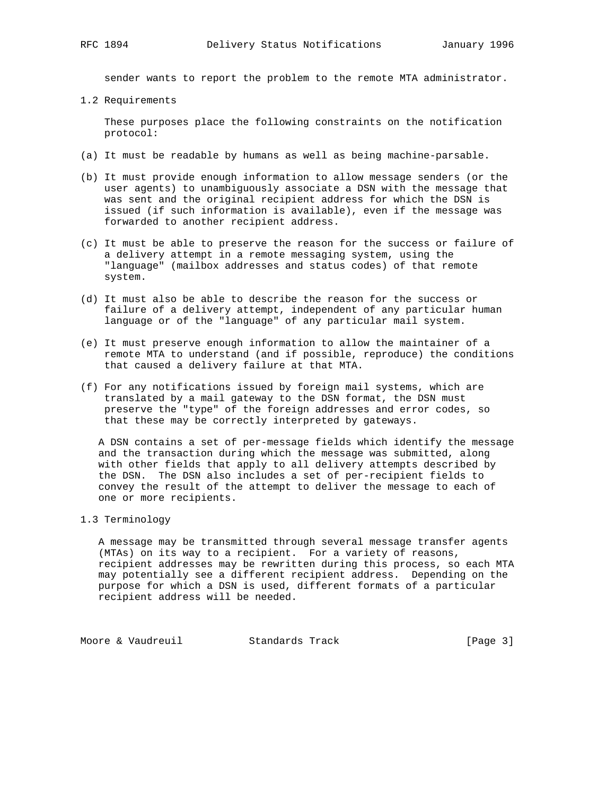sender wants to report the problem to the remote MTA administrator.

1.2 Requirements

 These purposes place the following constraints on the notification protocol:

- (a) It must be readable by humans as well as being machine-parsable.
- (b) It must provide enough information to allow message senders (or the user agents) to unambiguously associate a DSN with the message that was sent and the original recipient address for which the DSN is issued (if such information is available), even if the message was forwarded to another recipient address.
- (c) It must be able to preserve the reason for the success or failure of a delivery attempt in a remote messaging system, using the "language" (mailbox addresses and status codes) of that remote system.
- (d) It must also be able to describe the reason for the success or failure of a delivery attempt, independent of any particular human language or of the "language" of any particular mail system.
- (e) It must preserve enough information to allow the maintainer of a remote MTA to understand (and if possible, reproduce) the conditions that caused a delivery failure at that MTA.
- (f) For any notifications issued by foreign mail systems, which are translated by a mail gateway to the DSN format, the DSN must preserve the "type" of the foreign addresses and error codes, so that these may be correctly interpreted by gateways.

 A DSN contains a set of per-message fields which identify the message and the transaction during which the message was submitted, along with other fields that apply to all delivery attempts described by the DSN. The DSN also includes a set of per-recipient fields to convey the result of the attempt to deliver the message to each of one or more recipients.

1.3 Terminology

 A message may be transmitted through several message transfer agents (MTAs) on its way to a recipient. For a variety of reasons, recipient addresses may be rewritten during this process, so each MTA may potentially see a different recipient address. Depending on the purpose for which a DSN is used, different formats of a particular recipient address will be needed.

Moore & Vaudreuil **Standards Track** [Page 3]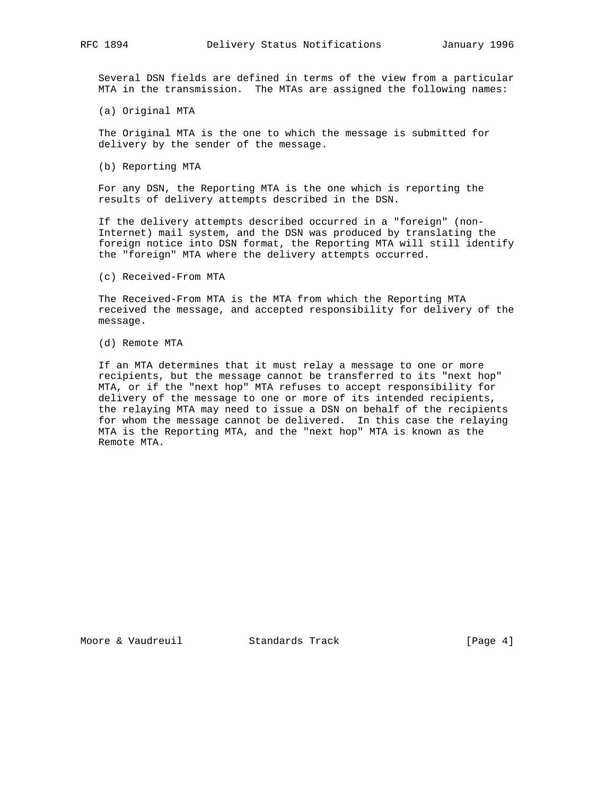Several DSN fields are defined in terms of the view from a particular MTA in the transmission. The MTAs are assigned the following names:

(a) Original MTA

 The Original MTA is the one to which the message is submitted for delivery by the sender of the message.

(b) Reporting MTA

 For any DSN, the Reporting MTA is the one which is reporting the results of delivery attempts described in the DSN.

 If the delivery attempts described occurred in a "foreign" (non- Internet) mail system, and the DSN was produced by translating the foreign notice into DSN format, the Reporting MTA will still identify the "foreign" MTA where the delivery attempts occurred.

(c) Received-From MTA

 The Received-From MTA is the MTA from which the Reporting MTA received the message, and accepted responsibility for delivery of the message.

(d) Remote MTA

 If an MTA determines that it must relay a message to one or more recipients, but the message cannot be transferred to its "next hop" MTA, or if the "next hop" MTA refuses to accept responsibility for delivery of the message to one or more of its intended recipients, the relaying MTA may need to issue a DSN on behalf of the recipients for whom the message cannot be delivered. In this case the relaying MTA is the Reporting MTA, and the "next hop" MTA is known as the Remote MTA.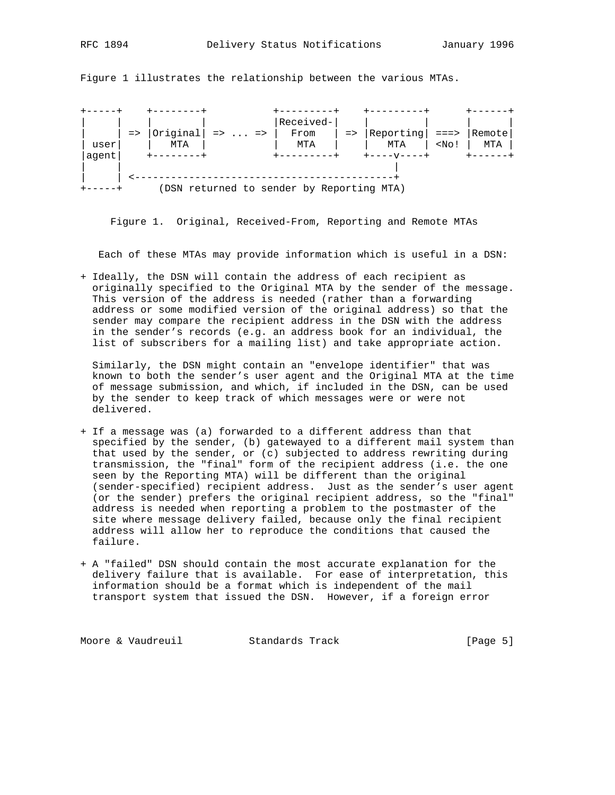+-----+ +--------+ +---------+ +---------+ +------+ | | | | |Received-| | | | | |  $|$  =>  $|$ Original| => ... => | From | => |Reporting| ===> |Remote| | user| | MTA | | MTA | | MTA | <No! | MTA | |agent| +--------+ +---------+ +----v----+ +------+ | | | | | <-------------------------------------------+ +-----+ (DSN returned to sender by Reporting MTA)

Figure 1 illustrates the relationship between the various MTAs.

Figure 1. Original, Received-From, Reporting and Remote MTAs

Each of these MTAs may provide information which is useful in a DSN:

+ Ideally, the DSN will contain the address of each recipient as originally specified to the Original MTA by the sender of the message. This version of the address is needed (rather than a forwarding address or some modified version of the original address) so that the sender may compare the recipient address in the DSN with the address in the sender's records (e.g. an address book for an individual, the list of subscribers for a mailing list) and take appropriate action.

 Similarly, the DSN might contain an "envelope identifier" that was known to both the sender's user agent and the Original MTA at the time of message submission, and which, if included in the DSN, can be used by the sender to keep track of which messages were or were not delivered.

- + If a message was (a) forwarded to a different address than that specified by the sender, (b) gatewayed to a different mail system than that used by the sender, or (c) subjected to address rewriting during transmission, the "final" form of the recipient address (i.e. the one seen by the Reporting MTA) will be different than the original (sender-specified) recipient address. Just as the sender's user agent (or the sender) prefers the original recipient address, so the "final" address is needed when reporting a problem to the postmaster of the site where message delivery failed, because only the final recipient address will allow her to reproduce the conditions that caused the failure.
- + A "failed" DSN should contain the most accurate explanation for the delivery failure that is available. For ease of interpretation, this information should be a format which is independent of the mail transport system that issued the DSN. However, if a foreign error

Moore & Vaudreuil **Standards Track** [Page 5]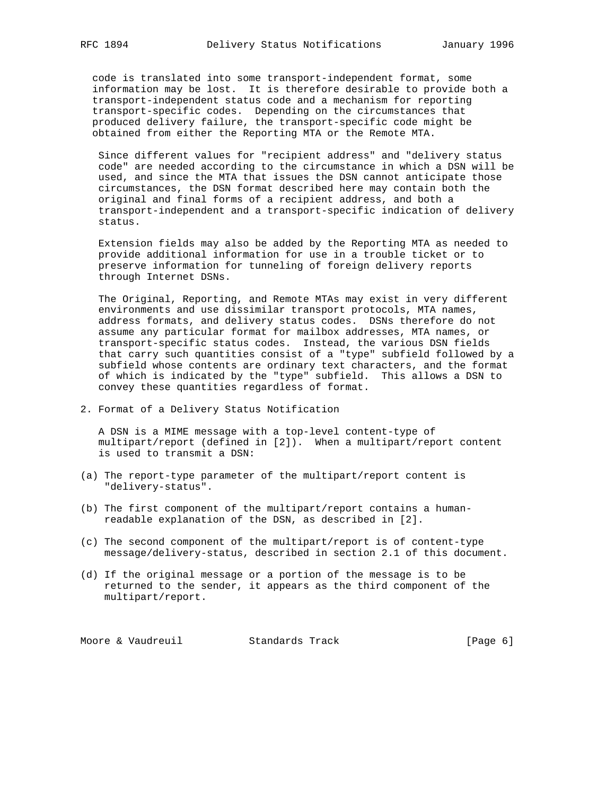code is translated into some transport-independent format, some information may be lost. It is therefore desirable to provide both a transport-independent status code and a mechanism for reporting transport-specific codes. Depending on the circumstances that produced delivery failure, the transport-specific code might be obtained from either the Reporting MTA or the Remote MTA.

 Since different values for "recipient address" and "delivery status code" are needed according to the circumstance in which a DSN will be used, and since the MTA that issues the DSN cannot anticipate those circumstances, the DSN format described here may contain both the original and final forms of a recipient address, and both a transport-independent and a transport-specific indication of delivery status.

 Extension fields may also be added by the Reporting MTA as needed to provide additional information for use in a trouble ticket or to preserve information for tunneling of foreign delivery reports through Internet DSNs.

 The Original, Reporting, and Remote MTAs may exist in very different environments and use dissimilar transport protocols, MTA names, address formats, and delivery status codes. DSNs therefore do not assume any particular format for mailbox addresses, MTA names, or transport-specific status codes. Instead, the various DSN fields that carry such quantities consist of a "type" subfield followed by a subfield whose contents are ordinary text characters, and the format of which is indicated by the "type" subfield. This allows a DSN to convey these quantities regardless of format.

2. Format of a Delivery Status Notification

 A DSN is a MIME message with a top-level content-type of multipart/report (defined in [2]). When a multipart/report content is used to transmit a DSN:

- (a) The report-type parameter of the multipart/report content is "delivery-status".
- (b) The first component of the multipart/report contains a human readable explanation of the DSN, as described in [2].
- (c) The second component of the multipart/report is of content-type message/delivery-status, described in section 2.1 of this document.
- (d) If the original message or a portion of the message is to be returned to the sender, it appears as the third component of the multipart/report.

Moore & Vaudreuil Standards Track [Page 6]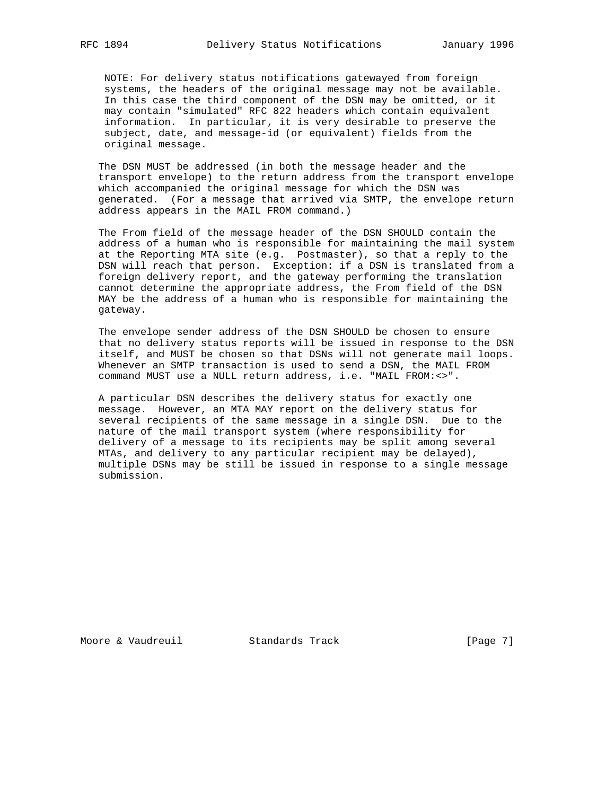NOTE: For delivery status notifications gatewayed from foreign systems, the headers of the original message may not be available. In this case the third component of the DSN may be omitted, or it may contain "simulated" RFC 822 headers which contain equivalent information. In particular, it is very desirable to preserve the subject, date, and message-id (or equivalent) fields from the original message.

 The DSN MUST be addressed (in both the message header and the transport envelope) to the return address from the transport envelope which accompanied the original message for which the DSN was generated. (For a message that arrived via SMTP, the envelope return address appears in the MAIL FROM command.)

 The From field of the message header of the DSN SHOULD contain the address of a human who is responsible for maintaining the mail system at the Reporting MTA site (e.g. Postmaster), so that a reply to the DSN will reach that person. Exception: if a DSN is translated from a foreign delivery report, and the gateway performing the translation cannot determine the appropriate address, the From field of the DSN MAY be the address of a human who is responsible for maintaining the gateway.

 The envelope sender address of the DSN SHOULD be chosen to ensure that no delivery status reports will be issued in response to the DSN itself, and MUST be chosen so that DSNs will not generate mail loops. Whenever an SMTP transaction is used to send a DSN, the MAIL FROM command MUST use a NULL return address, i.e. "MAIL FROM:<>".

 A particular DSN describes the delivery status for exactly one message. However, an MTA MAY report on the delivery status for several recipients of the same message in a single DSN. Due to the nature of the mail transport system (where responsibility for delivery of a message to its recipients may be split among several MTAs, and delivery to any particular recipient may be delayed), multiple DSNs may be still be issued in response to a single message submission.

Moore & Vaudreuil Standards Track [Page 7]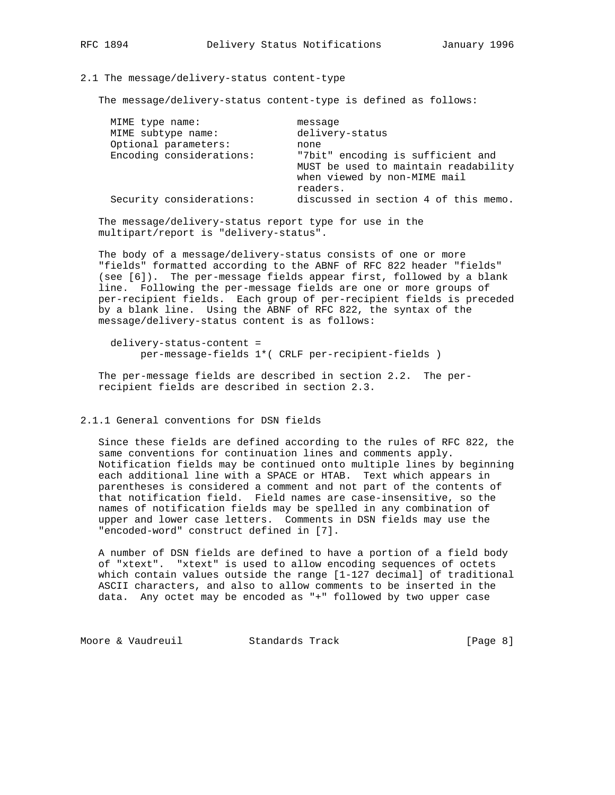# 2.1 The message/delivery-status content-type

The message/delivery-status content-type is defined as follows:

| readers.<br>Security considerations: | MIME type name:<br>MIME subtype name:<br>Optional parameters:<br>Encoding considerations: | message<br>delivery-status<br>none<br>"7bit" encoding is sufficient and<br>MUST be used to maintain readability<br>when viewed by non-MIME mail |
|--------------------------------------|-------------------------------------------------------------------------------------------|-------------------------------------------------------------------------------------------------------------------------------------------------|
|                                      |                                                                                           | discussed in section 4 of this memo.                                                                                                            |

 The message/delivery-status report type for use in the multipart/report is "delivery-status".

 The body of a message/delivery-status consists of one or more "fields" formatted according to the ABNF of RFC 822 header "fields" (see [6]). The per-message fields appear first, followed by a blank line. Following the per-message fields are one or more groups of per-recipient fields. Each group of per-recipient fields is preceded by a blank line. Using the ABNF of RFC 822, the syntax of the message/delivery-status content is as follows:

 delivery-status-content = per-message-fields 1\*( CRLF per-recipient-fields )

 The per-message fields are described in section 2.2. The per recipient fields are described in section 2.3.

# 2.1.1 General conventions for DSN fields

 Since these fields are defined according to the rules of RFC 822, the same conventions for continuation lines and comments apply. Notification fields may be continued onto multiple lines by beginning each additional line with a SPACE or HTAB. Text which appears in parentheses is considered a comment and not part of the contents of that notification field. Field names are case-insensitive, so the names of notification fields may be spelled in any combination of upper and lower case letters. Comments in DSN fields may use the "encoded-word" construct defined in [7].

 A number of DSN fields are defined to have a portion of a field body of "xtext". "xtext" is used to allow encoding sequences of octets which contain values outside the range [1-127 decimal] of traditional ASCII characters, and also to allow comments to be inserted in the data. Any octet may be encoded as "+" followed by two upper case

Moore & Vaudreuil **Standards Track** [Page 8]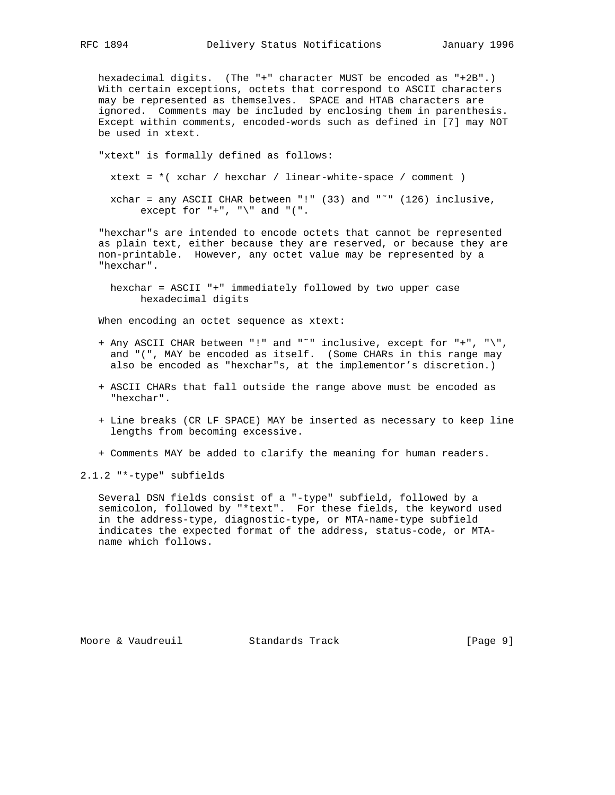hexadecimal digits. (The "+" character MUST be encoded as "+2B".) With certain exceptions, octets that correspond to ASCII characters may be represented as themselves. SPACE and HTAB characters are ignored. Comments may be included by enclosing them in parenthesis. Except within comments, encoded-words such as defined in [7] may NOT be used in xtext.

 "xtext" is formally defined as follows:  $xtext = *$ ( $xchar / hexchar / linear-white-space / comment$ ) xchar = any ASCII CHAR between "!" (33) and " $\tilde{ }$ " (126) inclusive, except for  $"$ +",  $"\$ " and "(".

 "hexchar"s are intended to encode octets that cannot be represented as plain text, either because they are reserved, or because they are non-printable. However, any octet value may be represented by a "hexchar".

 hexchar = ASCII "+" immediately followed by two upper case hexadecimal digits

When encoding an octet sequence as xtext:

- + Any ASCII CHAR between "!" and "˜" inclusive, except for "+", "\", and "(", MAY be encoded as itself. (Some CHARs in this range may also be encoded as "hexchar"s, at the implementor's discretion.)
- + ASCII CHARs that fall outside the range above must be encoded as "hexchar".
- + Line breaks (CR LF SPACE) MAY be inserted as necessary to keep line lengths from becoming excessive.
- + Comments MAY be added to clarify the meaning for human readers.

2.1.2 "\*-type" subfields

 Several DSN fields consist of a "-type" subfield, followed by a semicolon, followed by "\*text". For these fields, the keyword used in the address-type, diagnostic-type, or MTA-name-type subfield indicates the expected format of the address, status-code, or MTA name which follows.

Moore & Vaudreuil Standards Track [Page 9]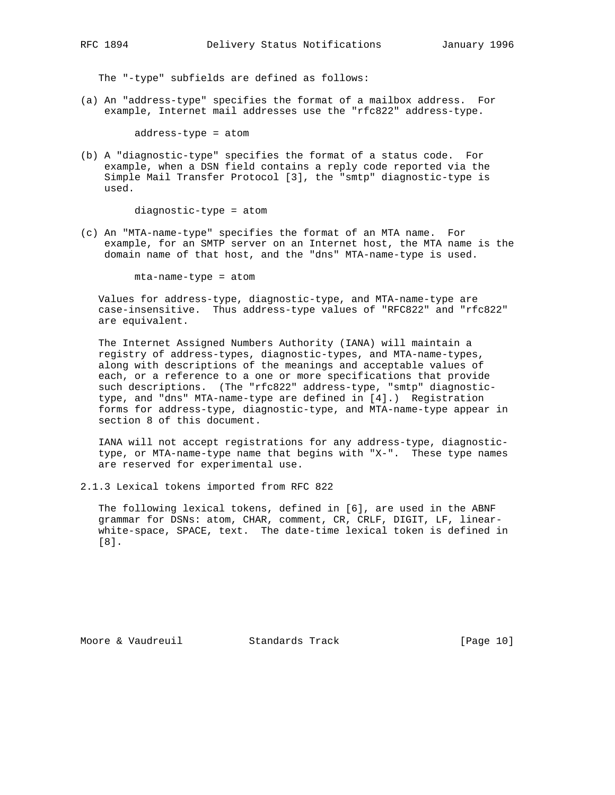The "-type" subfields are defined as follows:

(a) An "address-type" specifies the format of a mailbox address. For example, Internet mail addresses use the "rfc822" address-type.

address-type = atom

(b) A "diagnostic-type" specifies the format of a status code. For example, when a DSN field contains a reply code reported via the Simple Mail Transfer Protocol [3], the "smtp" diagnostic-type is used.

diagnostic-type = atom

(c) An "MTA-name-type" specifies the format of an MTA name. For example, for an SMTP server on an Internet host, the MTA name is the domain name of that host, and the "dns" MTA-name-type is used.

mta-name-type = atom

 Values for address-type, diagnostic-type, and MTA-name-type are case-insensitive. Thus address-type values of "RFC822" and "rfc822" are equivalent.

 The Internet Assigned Numbers Authority (IANA) will maintain a registry of address-types, diagnostic-types, and MTA-name-types, along with descriptions of the meanings and acceptable values of each, or a reference to a one or more specifications that provide such descriptions. (The "rfc822" address-type, "smtp" diagnostic type, and "dns" MTA-name-type are defined in [4].) Registration forms for address-type, diagnostic-type, and MTA-name-type appear in section 8 of this document.

 IANA will not accept registrations for any address-type, diagnostic type, or MTA-name-type name that begins with "X-". These type names are reserved for experimental use.

2.1.3 Lexical tokens imported from RFC 822

 The following lexical tokens, defined in [6], are used in the ABNF grammar for DSNs: atom, CHAR, comment, CR, CRLF, DIGIT, LF, linear white-space, SPACE, text. The date-time lexical token is defined in [8].

Moore & Vaudreuil **Standards Track** [Page 10]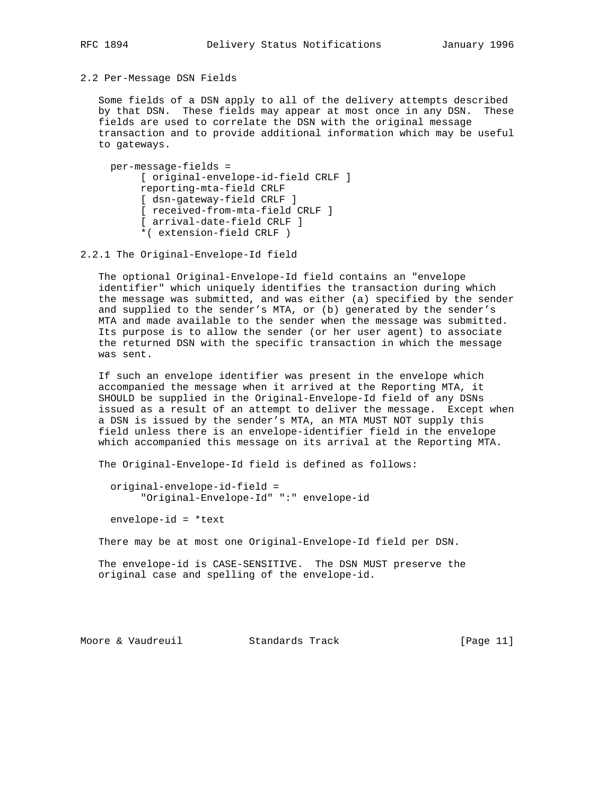# 2.2 Per-Message DSN Fields

 Some fields of a DSN apply to all of the delivery attempts described by that DSN. These fields may appear at most once in any DSN. These fields are used to correlate the DSN with the original message transaction and to provide additional information which may be useful to gateways.

 per-message-fields = [ original-envelope-id-field CRLF ] reporting-mta-field CRLF [ dsn-gateway-field CRLF ] [ received-from-mta-field CRLF ] [ arrival-date-field CRLF ] \*( extension-field CRLF )

2.2.1 The Original-Envelope-Id field

 The optional Original-Envelope-Id field contains an "envelope identifier" which uniquely identifies the transaction during which the message was submitted, and was either (a) specified by the sender and supplied to the sender's MTA, or (b) generated by the sender's MTA and made available to the sender when the message was submitted. Its purpose is to allow the sender (or her user agent) to associate the returned DSN with the specific transaction in which the message was sent.

 If such an envelope identifier was present in the envelope which accompanied the message when it arrived at the Reporting MTA, it SHOULD be supplied in the Original-Envelope-Id field of any DSNs issued as a result of an attempt to deliver the message. Except when a DSN is issued by the sender's MTA, an MTA MUST NOT supply this field unless there is an envelope-identifier field in the envelope which accompanied this message on its arrival at the Reporting MTA.

The Original-Envelope-Id field is defined as follows:

 original-envelope-id-field = "Original-Envelope-Id" ":" envelope-id

envelope-id = \*text

There may be at most one Original-Envelope-Id field per DSN.

 The envelope-id is CASE-SENSITIVE. The DSN MUST preserve the original case and spelling of the envelope-id.

Moore & Vaudreuil Standards Track [Page 11]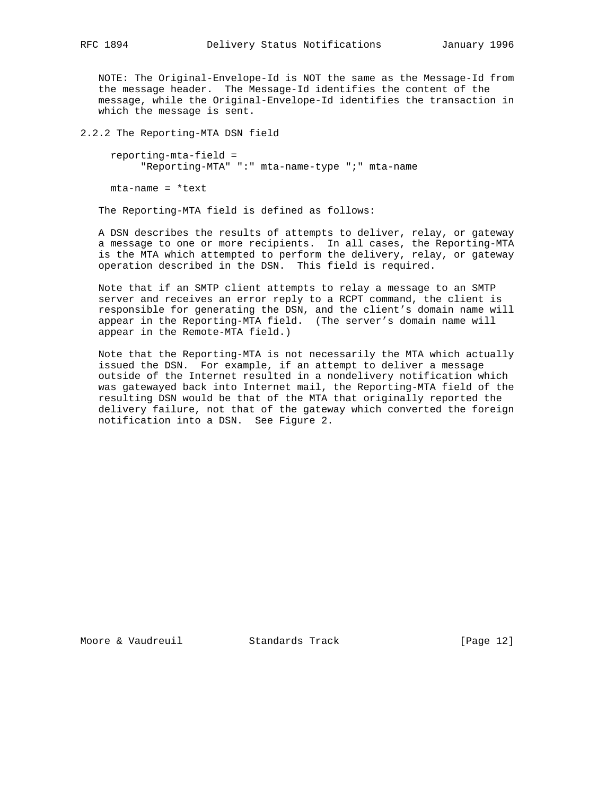NOTE: The Original-Envelope-Id is NOT the same as the Message-Id from the message header. The Message-Id identifies the content of the

 message, while the Original-Envelope-Id identifies the transaction in which the message is sent.

2.2.2 The Reporting-MTA DSN field

 reporting-mta-field = "Reporting-MTA" ":" mta-name-type ";" mta-name

mta-name = \*text

The Reporting-MTA field is defined as follows:

 A DSN describes the results of attempts to deliver, relay, or gateway a message to one or more recipients. In all cases, the Reporting-MTA is the MTA which attempted to perform the delivery, relay, or gateway operation described in the DSN. This field is required.

 Note that if an SMTP client attempts to relay a message to an SMTP server and receives an error reply to a RCPT command, the client is responsible for generating the DSN, and the client's domain name will appear in the Reporting-MTA field. (The server's domain name will appear in the Remote-MTA field.)

 Note that the Reporting-MTA is not necessarily the MTA which actually issued the DSN. For example, if an attempt to deliver a message outside of the Internet resulted in a nondelivery notification which was gatewayed back into Internet mail, the Reporting-MTA field of the resulting DSN would be that of the MTA that originally reported the delivery failure, not that of the gateway which converted the foreign notification into a DSN. See Figure 2.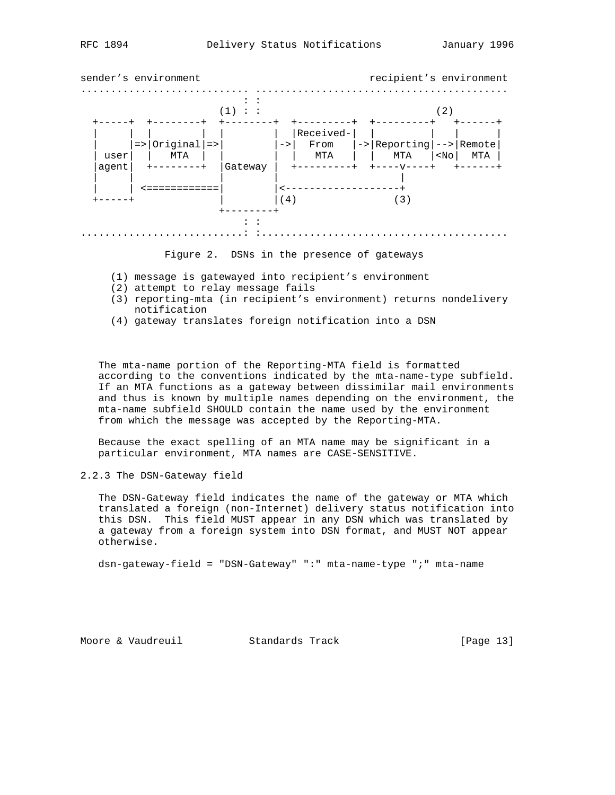

Figure 2. DSNs in the presence of gateways

- (1) message is gatewayed into recipient's environment
- (2) attempt to relay message fails
- (3) reporting-mta (in recipient's environment) returns nondelivery notification
- (4) gateway translates foreign notification into a DSN

 The mta-name portion of the Reporting-MTA field is formatted according to the conventions indicated by the mta-name-type subfield. If an MTA functions as a gateway between dissimilar mail environments and thus is known by multiple names depending on the environment, the mta-name subfield SHOULD contain the name used by the environment from which the message was accepted by the Reporting-MTA.

 Because the exact spelling of an MTA name may be significant in a particular environment, MTA names are CASE-SENSITIVE.

2.2.3 The DSN-Gateway field

 The DSN-Gateway field indicates the name of the gateway or MTA which translated a foreign (non-Internet) delivery status notification into this DSN. This field MUST appear in any DSN which was translated by a gateway from a foreign system into DSN format, and MUST NOT appear otherwise.

dsn-gateway-field = "DSN-Gateway" ":" mta-name-type ";" mta-name

Moore & Vaudreuil **Standards Track** [Page 13]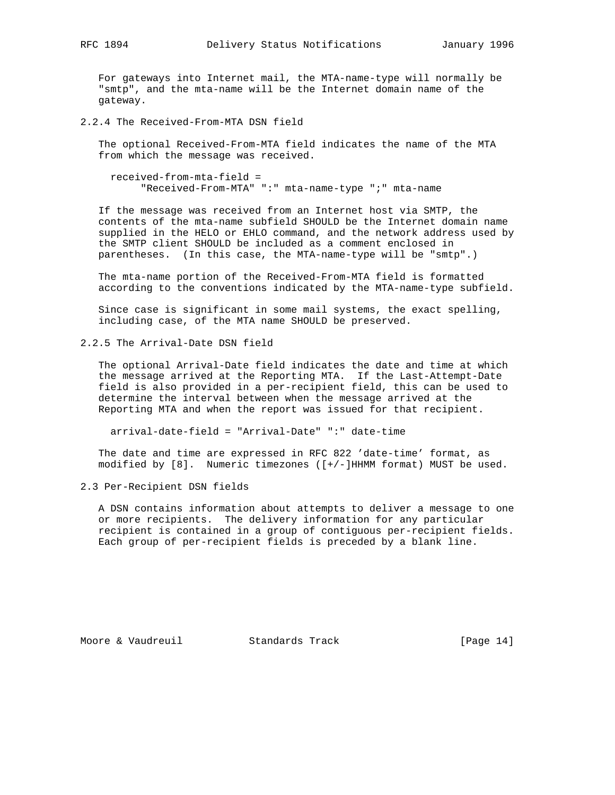For gateways into Internet mail, the MTA-name-type will normally be "smtp", and the mta-name will be the Internet domain name of the gateway.

2.2.4 The Received-From-MTA DSN field

 The optional Received-From-MTA field indicates the name of the MTA from which the message was received.

 received-from-mta-field = "Received-From-MTA" ":" mta-name-type ";" mta-name

 If the message was received from an Internet host via SMTP, the contents of the mta-name subfield SHOULD be the Internet domain name supplied in the HELO or EHLO command, and the network address used by the SMTP client SHOULD be included as a comment enclosed in parentheses. (In this case, the MTA-name-type will be "smtp".)

 The mta-name portion of the Received-From-MTA field is formatted according to the conventions indicated by the MTA-name-type subfield.

 Since case is significant in some mail systems, the exact spelling, including case, of the MTA name SHOULD be preserved.

2.2.5 The Arrival-Date DSN field

 The optional Arrival-Date field indicates the date and time at which the message arrived at the Reporting MTA. If the Last-Attempt-Date field is also provided in a per-recipient field, this can be used to determine the interval between when the message arrived at the Reporting MTA and when the report was issued for that recipient.

arrival-date-field = "Arrival-Date" ":" date-time

 The date and time are expressed in RFC 822 'date-time' format, as modified by [8]. Numeric timezones ([+/-]HHMM format) MUST be used.

2.3 Per-Recipient DSN fields

 A DSN contains information about attempts to deliver a message to one or more recipients. The delivery information for any particular recipient is contained in a group of contiguous per-recipient fields. Each group of per-recipient fields is preceded by a blank line.

Moore & Vaudreuil **Standards Track** [Page 14]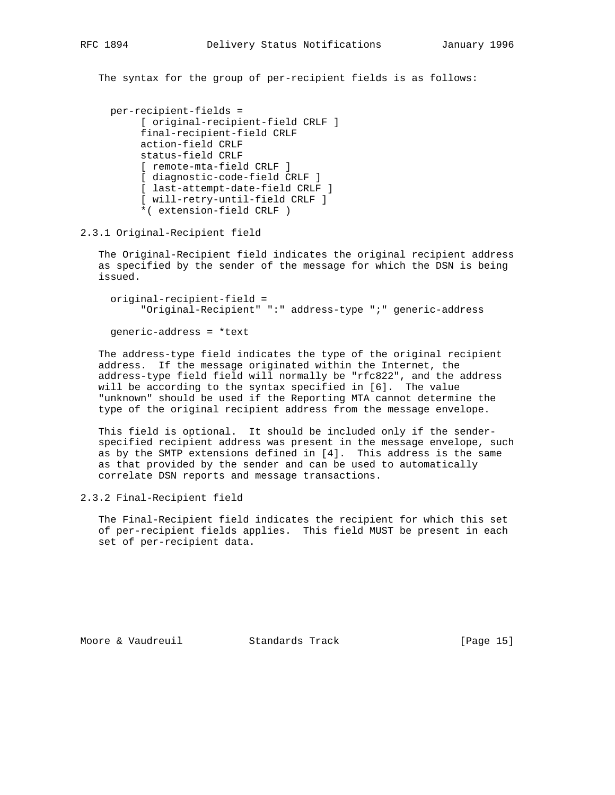The syntax for the group of per-recipient fields is as follows:

```
 per-recipient-fields =
      [ original-recipient-field CRLF ]
      final-recipient-field CRLF
      action-field CRLF
      status-field CRLF
      [ remote-mta-field CRLF ]
      [ diagnostic-code-field CRLF ]
      [ last-attempt-date-field CRLF ]
      [ will-retry-until-field CRLF ]
      *( extension-field CRLF )
```
2.3.1 Original-Recipient field

 The Original-Recipient field indicates the original recipient address as specified by the sender of the message for which the DSN is being issued.

 original-recipient-field = "Original-Recipient" ":" address-type ";" generic-address

generic-address = \*text

 The address-type field indicates the type of the original recipient address. If the message originated within the Internet, the address-type field field will normally be "rfc822", and the address will be according to the syntax specified in [6]. The value "unknown" should be used if the Reporting MTA cannot determine the type of the original recipient address from the message envelope.

 This field is optional. It should be included only if the sender specified recipient address was present in the message envelope, such as by the SMTP extensions defined in [4]. This address is the same as that provided by the sender and can be used to automatically correlate DSN reports and message transactions.

2.3.2 Final-Recipient field

 The Final-Recipient field indicates the recipient for which this set of per-recipient fields applies. This field MUST be present in each set of per-recipient data.

Moore & Vaudreuil Standards Track [Page 15]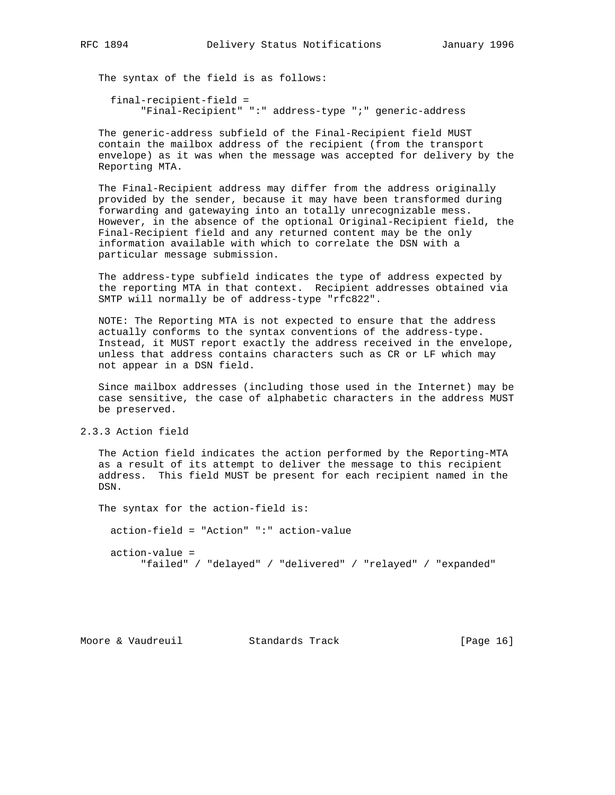The syntax of the field is as follows:

 final-recipient-field = "Final-Recipient" ":" address-type ";" generic-address

 The generic-address subfield of the Final-Recipient field MUST contain the mailbox address of the recipient (from the transport envelope) as it was when the message was accepted for delivery by the Reporting MTA.

 The Final-Recipient address may differ from the address originally provided by the sender, because it may have been transformed during forwarding and gatewaying into an totally unrecognizable mess. However, in the absence of the optional Original-Recipient field, the Final-Recipient field and any returned content may be the only information available with which to correlate the DSN with a particular message submission.

 The address-type subfield indicates the type of address expected by the reporting MTA in that context. Recipient addresses obtained via SMTP will normally be of address-type "rfc822".

 NOTE: The Reporting MTA is not expected to ensure that the address actually conforms to the syntax conventions of the address-type. Instead, it MUST report exactly the address received in the envelope, unless that address contains characters such as CR or LF which may not appear in a DSN field.

 Since mailbox addresses (including those used in the Internet) may be case sensitive, the case of alphabetic characters in the address MUST be preserved.

2.3.3 Action field

 The Action field indicates the action performed by the Reporting-MTA as a result of its attempt to deliver the message to this recipient address. This field MUST be present for each recipient named in the DSN.

 The syntax for the action-field is: action-field = "Action" ":" action-value action-value = "failed" / "delayed" / "delivered" / "relayed" / "expanded"

Moore & Vaudreuil **Standards Track** [Page 16]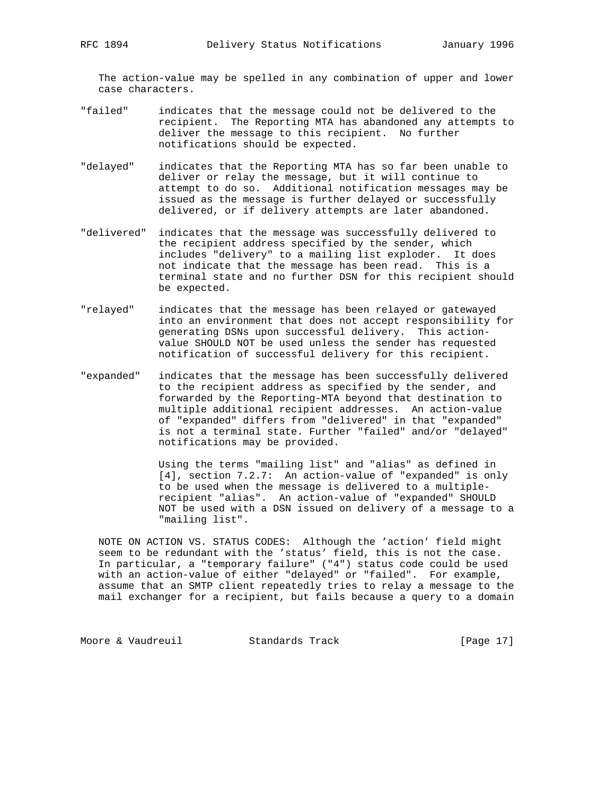The action-value may be spelled in any combination of upper and lower case characters.

- "failed" indicates that the message could not be delivered to the recipient. The Reporting MTA has abandoned any attempts to deliver the message to this recipient. No further notifications should be expected.
- "delayed" indicates that the Reporting MTA has so far been unable to deliver or relay the message, but it will continue to attempt to do so. Additional notification messages may be issued as the message is further delayed or successfully delivered, or if delivery attempts are later abandoned.
- "delivered" indicates that the message was successfully delivered to the recipient address specified by the sender, which includes "delivery" to a mailing list exploder. It does not indicate that the message has been read. This is a terminal state and no further DSN for this recipient should be expected.
- "relayed" indicates that the message has been relayed or gatewayed into an environment that does not accept responsibility for generating DSNs upon successful delivery. This action value SHOULD NOT be used unless the sender has requested notification of successful delivery for this recipient.
- "expanded" indicates that the message has been successfully delivered to the recipient address as specified by the sender, and forwarded by the Reporting-MTA beyond that destination to multiple additional recipient addresses. An action-value of "expanded" differs from "delivered" in that "expanded" is not a terminal state. Further "failed" and/or "delayed" notifications may be provided.

 Using the terms "mailing list" and "alias" as defined in [4], section 7.2.7: An action-value of "expanded" is only to be used when the message is delivered to a multiple recipient "alias". An action-value of "expanded" SHOULD NOT be used with a DSN issued on delivery of a message to a "mailing list".

 NOTE ON ACTION VS. STATUS CODES: Although the 'action' field might seem to be redundant with the 'status' field, this is not the case. In particular, a "temporary failure" ("4") status code could be used with an action-value of either "delayed" or "failed". For example, assume that an SMTP client repeatedly tries to relay a message to the mail exchanger for a recipient, but fails because a query to a domain

Moore & Vaudreuil **Standards Track** [Page 17]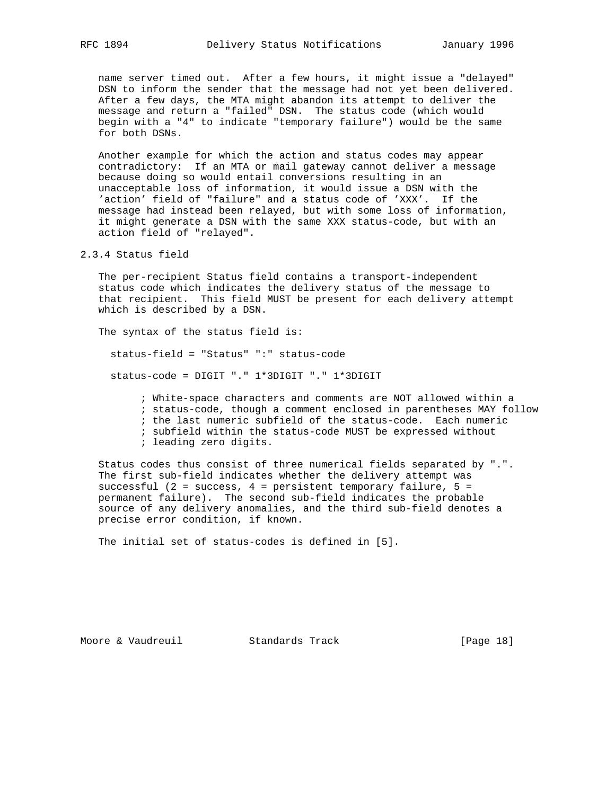name server timed out. After a few hours, it might issue a "delayed" DSN to inform the sender that the message had not yet been delivered. After a few days, the MTA might abandon its attempt to deliver the message and return a "failed" DSN. The status code (which would begin with a "4" to indicate "temporary failure") would be the same for both DSNs.

 Another example for which the action and status codes may appear contradictory: If an MTA or mail gateway cannot deliver a message because doing so would entail conversions resulting in an unacceptable loss of information, it would issue a DSN with the 'action' field of "failure" and a status code of 'XXX'. If the message had instead been relayed, but with some loss of information, it might generate a DSN with the same XXX status-code, but with an action field of "relayed".

2.3.4 Status field

 The per-recipient Status field contains a transport-independent status code which indicates the delivery status of the message to that recipient. This field MUST be present for each delivery attempt which is described by a DSN.

The syntax of the status field is:

status-field = "Status" ":" status-code

status-code = DIGIT "." 1\*3DIGIT "." 1\*3DIGIT

 ; White-space characters and comments are NOT allowed within a ; status-code, though a comment enclosed in parentheses MAY follow ; the last numeric subfield of the status-code. Each numeric ; subfield within the status-code MUST be expressed without ; leading zero digits.

 Status codes thus consist of three numerical fields separated by ".". The first sub-field indicates whether the delivery attempt was successful (2 = success, 4 = persistent temporary failure, 5 = permanent failure). The second sub-field indicates the probable source of any delivery anomalies, and the third sub-field denotes a precise error condition, if known.

The initial set of status-codes is defined in [5].

Moore & Vaudreuil **Standards Track** [Page 18]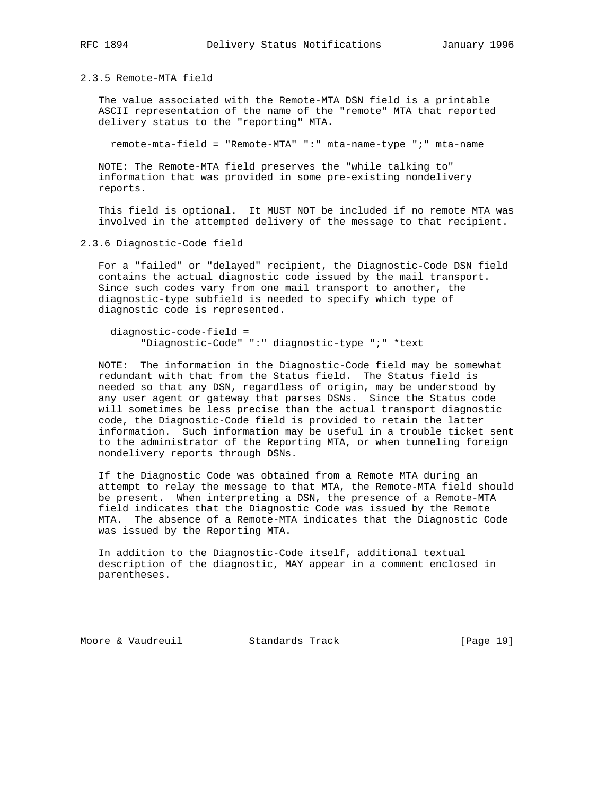2.3.5 Remote-MTA field

 The value associated with the Remote-MTA DSN field is a printable ASCII representation of the name of the "remote" MTA that reported delivery status to the "reporting" MTA.

remote-mta-field = "Remote-MTA" ":" mta-name-type ";" mta-name

 NOTE: The Remote-MTA field preserves the "while talking to" information that was provided in some pre-existing nondelivery reports.

 This field is optional. It MUST NOT be included if no remote MTA was involved in the attempted delivery of the message to that recipient.

2.3.6 Diagnostic-Code field

 For a "failed" or "delayed" recipient, the Diagnostic-Code DSN field contains the actual diagnostic code issued by the mail transport. Since such codes vary from one mail transport to another, the diagnostic-type subfield is needed to specify which type of diagnostic code is represented.

 diagnostic-code-field = "Diagnostic-Code" ":" diagnostic-type ";" \*text

 NOTE: The information in the Diagnostic-Code field may be somewhat redundant with that from the Status field. The Status field is needed so that any DSN, regardless of origin, may be understood by any user agent or gateway that parses DSNs. Since the Status code will sometimes be less precise than the actual transport diagnostic code, the Diagnostic-Code field is provided to retain the latter information. Such information may be useful in a trouble ticket sent to the administrator of the Reporting MTA, or when tunneling foreign nondelivery reports through DSNs.

 If the Diagnostic Code was obtained from a Remote MTA during an attempt to relay the message to that MTA, the Remote-MTA field should be present. When interpreting a DSN, the presence of a Remote-MTA field indicates that the Diagnostic Code was issued by the Remote MTA. The absence of a Remote-MTA indicates that the Diagnostic Code was issued by the Reporting MTA.

 In addition to the Diagnostic-Code itself, additional textual description of the diagnostic, MAY appear in a comment enclosed in parentheses.

Moore & Vaudreuil Standards Track [Page 19]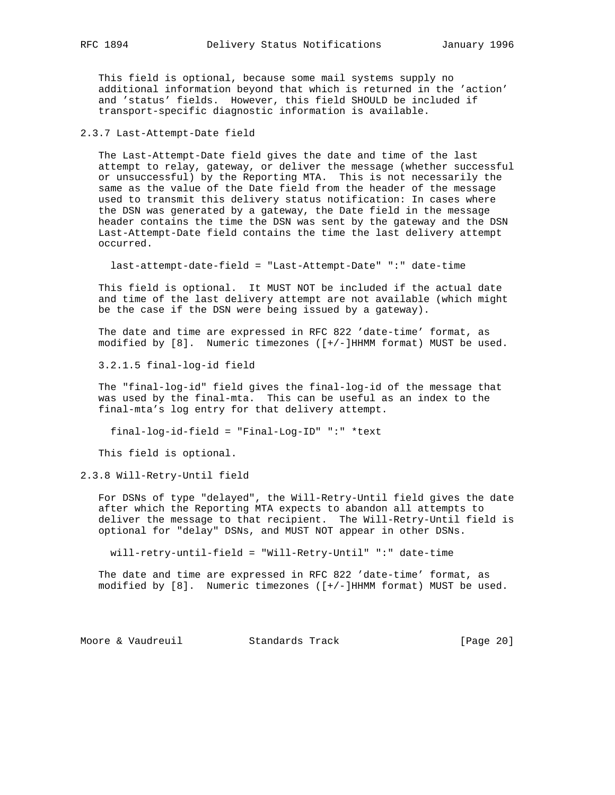This field is optional, because some mail systems supply no additional information beyond that which is returned in the 'action' and 'status' fields. However, this field SHOULD be included if transport-specific diagnostic information is available.

2.3.7 Last-Attempt-Date field

 The Last-Attempt-Date field gives the date and time of the last attempt to relay, gateway, or deliver the message (whether successful or unsuccessful) by the Reporting MTA. This is not necessarily the same as the value of the Date field from the header of the message used to transmit this delivery status notification: In cases where the DSN was generated by a gateway, the Date field in the message header contains the time the DSN was sent by the gateway and the DSN Last-Attempt-Date field contains the time the last delivery attempt occurred.

last-attempt-date-field = "Last-Attempt-Date" ":" date-time

 This field is optional. It MUST NOT be included if the actual date and time of the last delivery attempt are not available (which might be the case if the DSN were being issued by a gateway).

 The date and time are expressed in RFC 822 'date-time' format, as modified by [8]. Numeric timezones ([+/-]HHMM format) MUST be used.

3.2.1.5 final-log-id field

 The "final-log-id" field gives the final-log-id of the message that was used by the final-mta. This can be useful as an index to the final-mta's log entry for that delivery attempt.

final-log-id-field = "Final-Log-ID" ":" \*text

This field is optional.

2.3.8 Will-Retry-Until field

 For DSNs of type "delayed", the Will-Retry-Until field gives the date after which the Reporting MTA expects to abandon all attempts to deliver the message to that recipient. The Will-Retry-Until field is optional for "delay" DSNs, and MUST NOT appear in other DSNs.

will-retry-until-field = "Will-Retry-Until" ":" date-time

 The date and time are expressed in RFC 822 'date-time' format, as modified by [8]. Numeric timezones ([+/-]HHMM format) MUST be used.

Moore & Vaudreuil **Standards Track** [Page 20]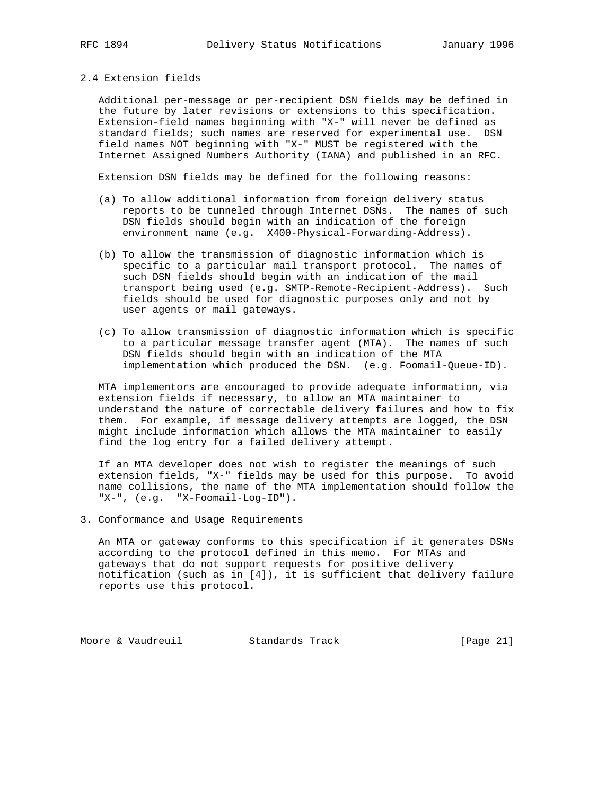# 2.4 Extension fields

 Additional per-message or per-recipient DSN fields may be defined in the future by later revisions or extensions to this specification. Extension-field names beginning with "X-" will never be defined as standard fields; such names are reserved for experimental use. DSN field names NOT beginning with "X-" MUST be registered with the Internet Assigned Numbers Authority (IANA) and published in an RFC.

Extension DSN fields may be defined for the following reasons:

- (a) To allow additional information from foreign delivery status reports to be tunneled through Internet DSNs. The names of such DSN fields should begin with an indication of the foreign environment name (e.g. X400-Physical-Forwarding-Address).
- (b) To allow the transmission of diagnostic information which is specific to a particular mail transport protocol. The names of such DSN fields should begin with an indication of the mail transport being used (e.g. SMTP-Remote-Recipient-Address). Such fields should be used for diagnostic purposes only and not by user agents or mail gateways.
- (c) To allow transmission of diagnostic information which is specific to a particular message transfer agent (MTA). The names of such DSN fields should begin with an indication of the MTA implementation which produced the DSN. (e.g. Foomail-Queue-ID).

 MTA implementors are encouraged to provide adequate information, via extension fields if necessary, to allow an MTA maintainer to understand the nature of correctable delivery failures and how to fix them. For example, if message delivery attempts are logged, the DSN might include information which allows the MTA maintainer to easily find the log entry for a failed delivery attempt.

 If an MTA developer does not wish to register the meanings of such extension fields, "X-" fields may be used for this purpose. To avoid name collisions, the name of the MTA implementation should follow the "X-", (e.g. "X-Foomail-Log-ID").

3. Conformance and Usage Requirements

 An MTA or gateway conforms to this specification if it generates DSNs according to the protocol defined in this memo. For MTAs and gateways that do not support requests for positive delivery notification (such as in [4]), it is sufficient that delivery failure reports use this protocol.

Moore & Vaudreuil **Standards Track** [Page 21]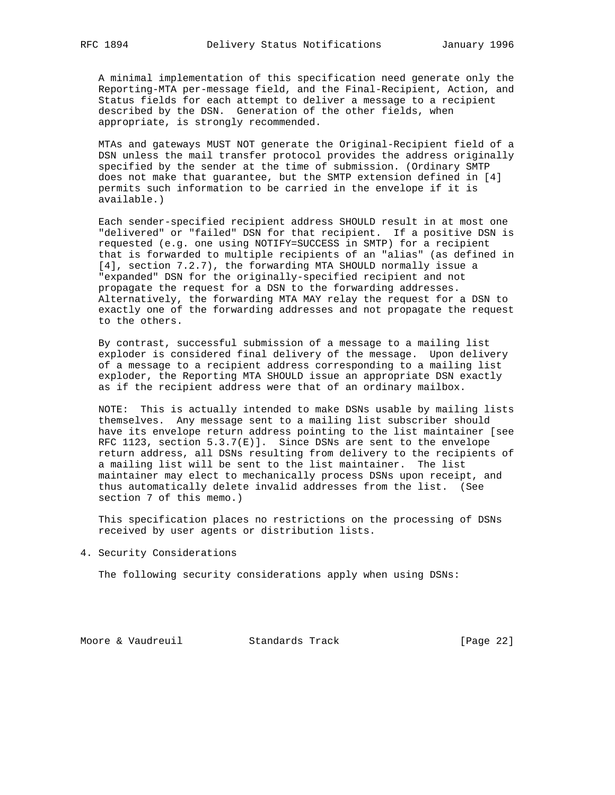A minimal implementation of this specification need generate only the Reporting-MTA per-message field, and the Final-Recipient, Action, and Status fields for each attempt to deliver a message to a recipient described by the DSN. Generation of the other fields, when appropriate, is strongly recommended.

 MTAs and gateways MUST NOT generate the Original-Recipient field of a DSN unless the mail transfer protocol provides the address originally specified by the sender at the time of submission. (Ordinary SMTP does not make that guarantee, but the SMTP extension defined in [4] permits such information to be carried in the envelope if it is available.)

 Each sender-specified recipient address SHOULD result in at most one "delivered" or "failed" DSN for that recipient. If a positive DSN is requested (e.g. one using NOTIFY=SUCCESS in SMTP) for a recipient that is forwarded to multiple recipients of an "alias" (as defined in [4], section 7.2.7), the forwarding MTA SHOULD normally issue a "expanded" DSN for the originally-specified recipient and not propagate the request for a DSN to the forwarding addresses. Alternatively, the forwarding MTA MAY relay the request for a DSN to exactly one of the forwarding addresses and not propagate the request to the others.

 By contrast, successful submission of a message to a mailing list exploder is considered final delivery of the message. Upon delivery of a message to a recipient address corresponding to a mailing list exploder, the Reporting MTA SHOULD issue an appropriate DSN exactly as if the recipient address were that of an ordinary mailbox.

 NOTE: This is actually intended to make DSNs usable by mailing lists themselves. Any message sent to a mailing list subscriber should have its envelope return address pointing to the list maintainer [see RFC 1123, section 5.3.7(E)]. Since DSNs are sent to the envelope return address, all DSNs resulting from delivery to the recipients of a mailing list will be sent to the list maintainer. The list maintainer may elect to mechanically process DSNs upon receipt, and thus automatically delete invalid addresses from the list. (See section 7 of this memo.)

 This specification places no restrictions on the processing of DSNs received by user agents or distribution lists.

4. Security Considerations

The following security considerations apply when using DSNs:

Moore & Vaudreuil **Standards Track** [Page 22]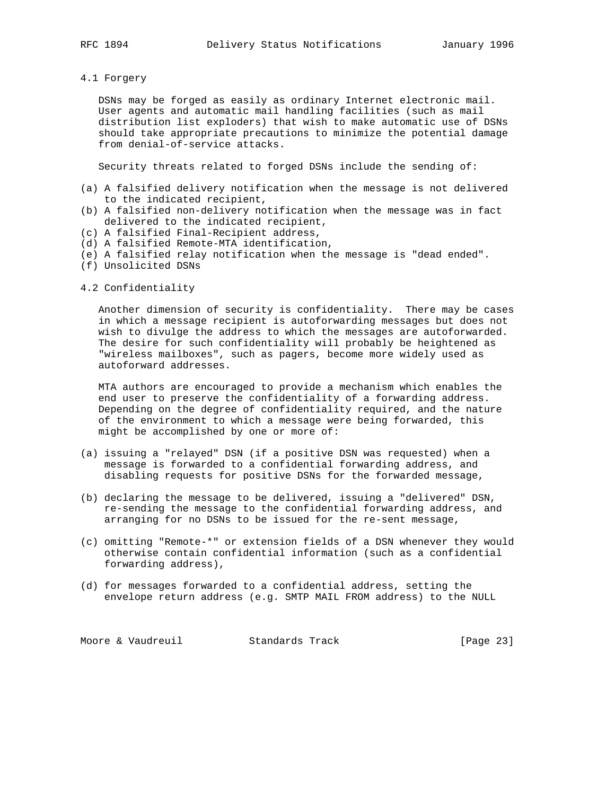4.1 Forgery

 DSNs may be forged as easily as ordinary Internet electronic mail. User agents and automatic mail handling facilities (such as mail distribution list exploders) that wish to make automatic use of DSNs should take appropriate precautions to minimize the potential damage from denial-of-service attacks.

Security threats related to forged DSNs include the sending of:

- (a) A falsified delivery notification when the message is not delivered to the indicated recipient,
- (b) A falsified non-delivery notification when the message was in fact delivered to the indicated recipient,
- (c) A falsified Final-Recipient address,
- (d) A falsified Remote-MTA identification,
- (e) A falsified relay notification when the message is "dead ended".
- (f) Unsolicited DSNs
- 4.2 Confidentiality

 Another dimension of security is confidentiality. There may be cases in which a message recipient is autoforwarding messages but does not wish to divulge the address to which the messages are autoforwarded. The desire for such confidentiality will probably be heightened as "wireless mailboxes", such as pagers, become more widely used as autoforward addresses.

 MTA authors are encouraged to provide a mechanism which enables the end user to preserve the confidentiality of a forwarding address. Depending on the degree of confidentiality required, and the nature of the environment to which a message were being forwarded, this might be accomplished by one or more of:

- (a) issuing a "relayed" DSN (if a positive DSN was requested) when a message is forwarded to a confidential forwarding address, and disabling requests for positive DSNs for the forwarded message,
- (b) declaring the message to be delivered, issuing a "delivered" DSN, re-sending the message to the confidential forwarding address, and arranging for no DSNs to be issued for the re-sent message,
- (c) omitting "Remote-\*" or extension fields of a DSN whenever they would otherwise contain confidential information (such as a confidential forwarding address),
- (d) for messages forwarded to a confidential address, setting the envelope return address (e.g. SMTP MAIL FROM address) to the NULL

Moore & Vaudreuil **Standards Track** [Page 23]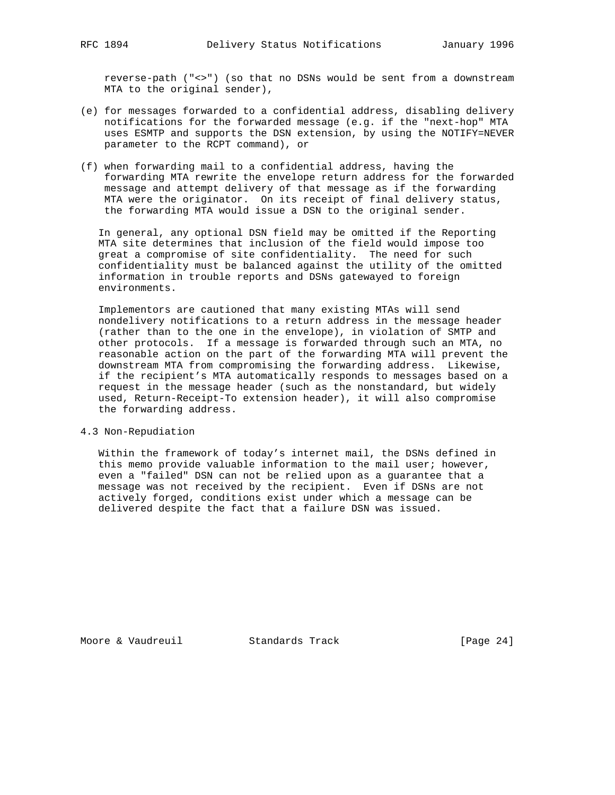reverse-path ("<>") (so that no DSNs would be sent from a downstream MTA to the original sender),

- (e) for messages forwarded to a confidential address, disabling delivery notifications for the forwarded message (e.g. if the "next-hop" MTA uses ESMTP and supports the DSN extension, by using the NOTIFY=NEVER parameter to the RCPT command), or
- (f) when forwarding mail to a confidential address, having the forwarding MTA rewrite the envelope return address for the forwarded message and attempt delivery of that message as if the forwarding MTA were the originator. On its receipt of final delivery status, the forwarding MTA would issue a DSN to the original sender.

 In general, any optional DSN field may be omitted if the Reporting MTA site determines that inclusion of the field would impose too great a compromise of site confidentiality. The need for such confidentiality must be balanced against the utility of the omitted information in trouble reports and DSNs gatewayed to foreign environments.

 Implementors are cautioned that many existing MTAs will send nondelivery notifications to a return address in the message header (rather than to the one in the envelope), in violation of SMTP and other protocols. If a message is forwarded through such an MTA, no reasonable action on the part of the forwarding MTA will prevent the downstream MTA from compromising the forwarding address. Likewise, if the recipient's MTA automatically responds to messages based on a request in the message header (such as the nonstandard, but widely used, Return-Receipt-To extension header), it will also compromise the forwarding address.

### 4.3 Non-Repudiation

 Within the framework of today's internet mail, the DSNs defined in this memo provide valuable information to the mail user; however, even a "failed" DSN can not be relied upon as a guarantee that a message was not received by the recipient. Even if DSNs are not actively forged, conditions exist under which a message can be delivered despite the fact that a failure DSN was issued.

Moore & Vaudreuil Standards Track [Page 24]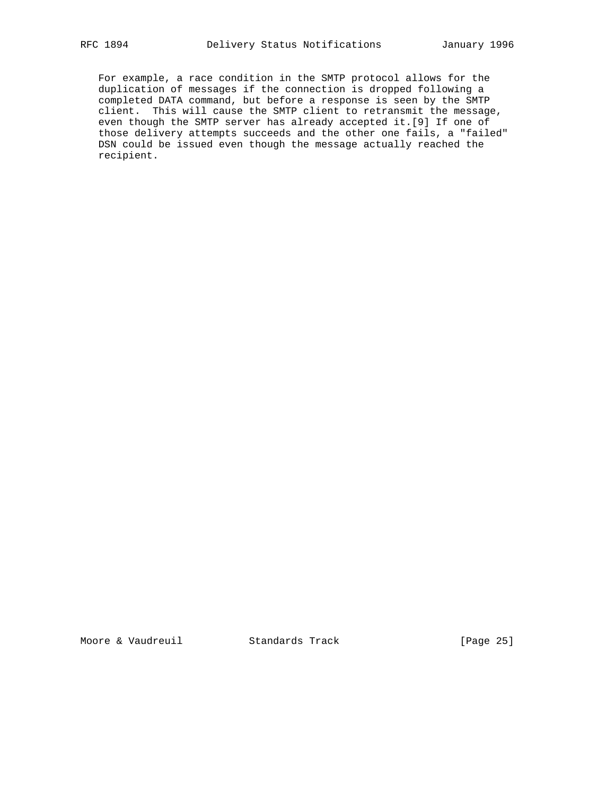For example, a race condition in the SMTP protocol allows for the duplication of messages if the connection is dropped following a completed DATA command, but before a response is seen by the SMTP client. This will cause the SMTP client to retransmit the message, even though the SMTP server has already accepted it.[9] If one of those delivery attempts succeeds and the other one fails, a "failed" DSN could be issued even though the message actually reached the recipient.

Moore & Vaudreuil **Standards Track** [Page 25]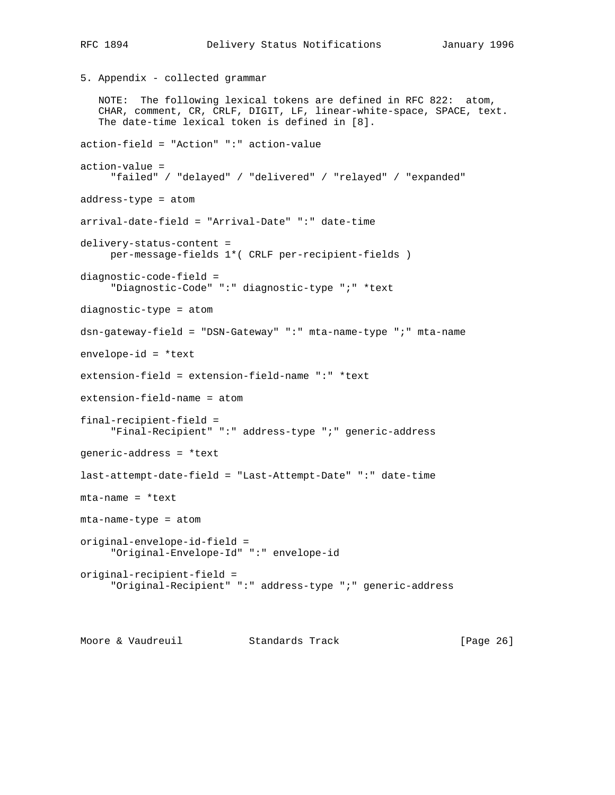```
5. Appendix - collected grammar
    NOTE: The following lexical tokens are defined in RFC 822: atom,
    CHAR, comment, CR, CRLF, DIGIT, LF, linear-white-space, SPACE, text.
    The date-time lexical token is defined in [8].
action-field = "Action" ":" action-value
action-value =
      "failed" / "delayed" / "delivered" / "relayed" / "expanded"
address-type = atom
arrival-date-field = "Arrival-Date" ":" date-time
delivery-status-content =
     per-message-fields 1*( CRLF per-recipient-fields )
diagnostic-code-field =
      "Diagnostic-Code" ":" diagnostic-type ";" *text
diagnostic-type = atom
dsn-gateway-field = "DSN-Gateway" ":" mta-name-type ";" mta-name
envelope-id = *text
extension-field = extension-field-name ":" *text
extension-field-name = atom
final-recipient-field =
      "Final-Recipient" ":" address-type ";" generic-address
generic-address = *text
last-attempt-date-field = "Last-Attempt-Date" ":" date-time
mta-name = *text
mta-name-type = atom
original-envelope-id-field =
      "Original-Envelope-Id" ":" envelope-id
original-recipient-field =
      "Original-Recipient" ":" address-type ";" generic-address
```
Moore & Vaudreuil Standards Track [Page 26]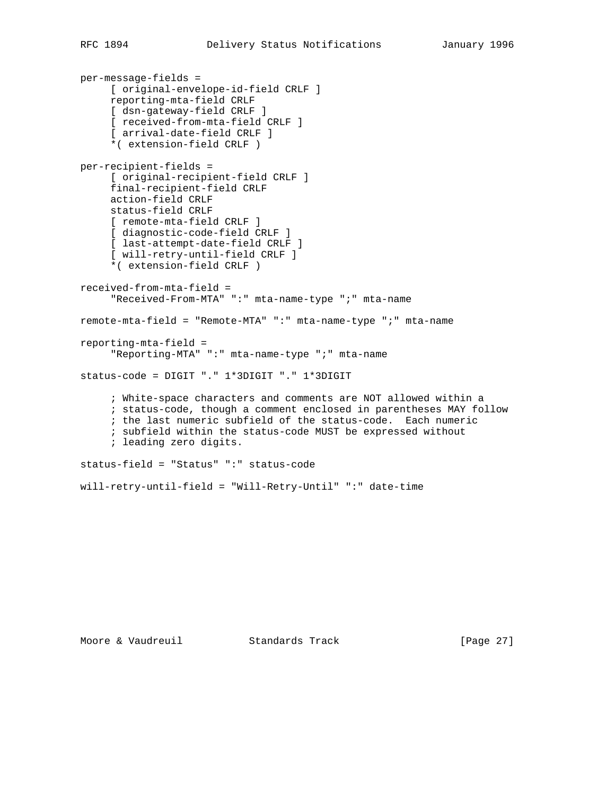```
per-message-fields =
      [ original-envelope-id-field CRLF ]
      reporting-mta-field CRLF
      [ dsn-gateway-field CRLF ]
      [ received-from-mta-field CRLF ]
      [ arrival-date-field CRLF ]
      *( extension-field CRLF )
per-recipient-fields =
      [ original-recipient-field CRLF ]
     final-recipient-field CRLF
      action-field CRLF
      status-field CRLF
      [ remote-mta-field CRLF ]
      [ diagnostic-code-field CRLF ]
      [ last-attempt-date-field CRLF ]
      [ will-retry-until-field CRLF ]
      *( extension-field CRLF )
received-from-mta-field =
      "Received-From-MTA" ":" mta-name-type ";" mta-name
remote-mta-field = "Remote-MTA" ":" mta-name-type ";" mta-name
reporting-mta-field =
      "Reporting-MTA" ":" mta-name-type ";" mta-name
status-code = DIGIT "." 1*3DIGIT "." 1*3DIGIT
      ; White-space characters and comments are NOT allowed within a
      ; status-code, though a comment enclosed in parentheses MAY follow
      ; the last numeric subfield of the status-code. Each numeric
      ; subfield within the status-code MUST be expressed without
      ; leading zero digits.
status-field = "Status" ":" status-code
will-retry-until-field = "Will-Retry-Until" ":" date-time
```
Moore & Vaudreuil **Standards Track** [Page 27]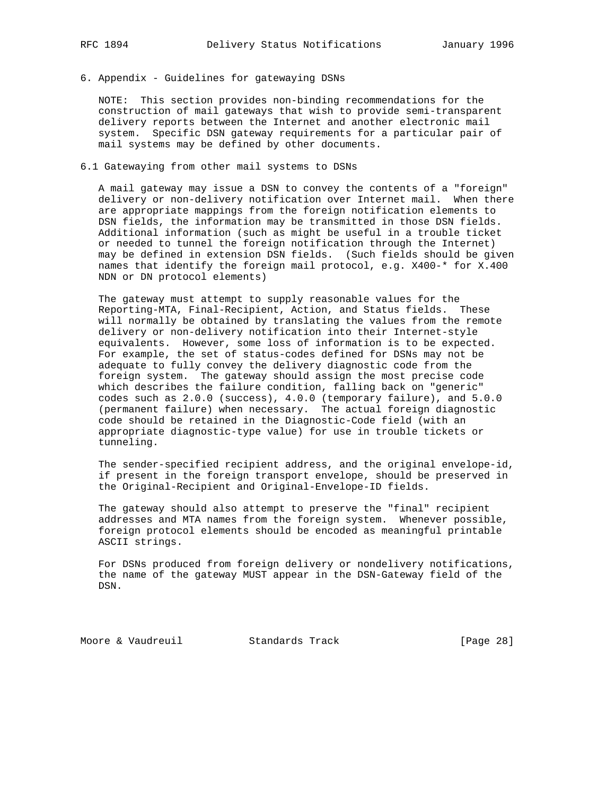# 6. Appendix - Guidelines for gatewaying DSNs

 NOTE: This section provides non-binding recommendations for the construction of mail gateways that wish to provide semi-transparent delivery reports between the Internet and another electronic mail system. Specific DSN gateway requirements for a particular pair of mail systems may be defined by other documents.

# 6.1 Gatewaying from other mail systems to DSNs

 A mail gateway may issue a DSN to convey the contents of a "foreign" delivery or non-delivery notification over Internet mail. When there are appropriate mappings from the foreign notification elements to DSN fields, the information may be transmitted in those DSN fields. Additional information (such as might be useful in a trouble ticket or needed to tunnel the foreign notification through the Internet) may be defined in extension DSN fields. (Such fields should be given names that identify the foreign mail protocol, e.g. X400-\* for X.400 NDN or DN protocol elements)

 The gateway must attempt to supply reasonable values for the Reporting-MTA, Final-Recipient, Action, and Status fields. These will normally be obtained by translating the values from the remote delivery or non-delivery notification into their Internet-style equivalents. However, some loss of information is to be expected. For example, the set of status-codes defined for DSNs may not be adequate to fully convey the delivery diagnostic code from the foreign system. The gateway should assign the most precise code which describes the failure condition, falling back on "generic" codes such as 2.0.0 (success), 4.0.0 (temporary failure), and 5.0.0 (permanent failure) when necessary. The actual foreign diagnostic code should be retained in the Diagnostic-Code field (with an appropriate diagnostic-type value) for use in trouble tickets or tunneling.

 The sender-specified recipient address, and the original envelope-id, if present in the foreign transport envelope, should be preserved in the Original-Recipient and Original-Envelope-ID fields.

 The gateway should also attempt to preserve the "final" recipient addresses and MTA names from the foreign system. Whenever possible, foreign protocol elements should be encoded as meaningful printable ASCII strings.

 For DSNs produced from foreign delivery or nondelivery notifications, the name of the gateway MUST appear in the DSN-Gateway field of the DSN.

Moore & Vaudreuil **Standards Track** [Page 28]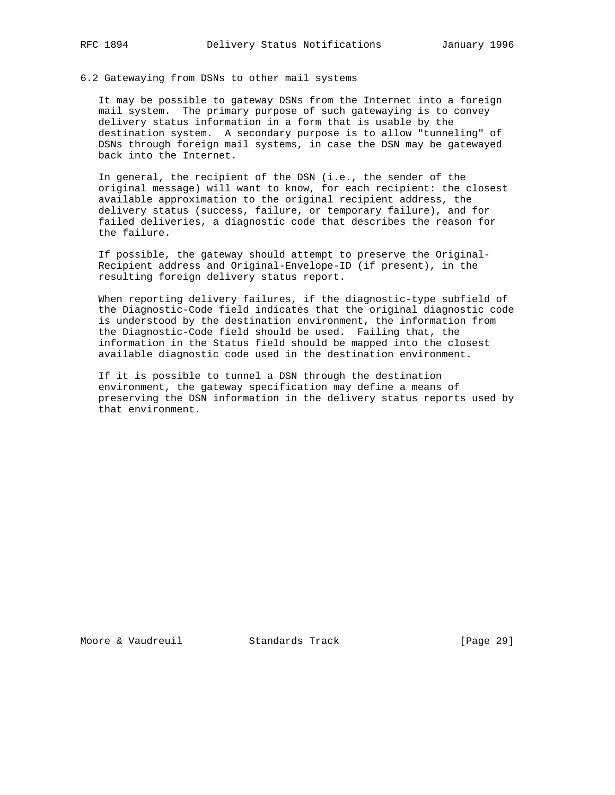# 6.2 Gatewaying from DSNs to other mail systems

 It may be possible to gateway DSNs from the Internet into a foreign mail system. The primary purpose of such gatewaying is to convey delivery status information in a form that is usable by the destination system. A secondary purpose is to allow "tunneling" of DSNs through foreign mail systems, in case the DSN may be gatewayed back into the Internet.

 In general, the recipient of the DSN (i.e., the sender of the original message) will want to know, for each recipient: the closest available approximation to the original recipient address, the delivery status (success, failure, or temporary failure), and for failed deliveries, a diagnostic code that describes the reason for the failure.

 If possible, the gateway should attempt to preserve the Original- Recipient address and Original-Envelope-ID (if present), in the resulting foreign delivery status report.

 When reporting delivery failures, if the diagnostic-type subfield of the Diagnostic-Code field indicates that the original diagnostic code is understood by the destination environment, the information from the Diagnostic-Code field should be used. Failing that, the information in the Status field should be mapped into the closest available diagnostic code used in the destination environment.

 If it is possible to tunnel a DSN through the destination environment, the gateway specification may define a means of preserving the DSN information in the delivery status reports used by that environment.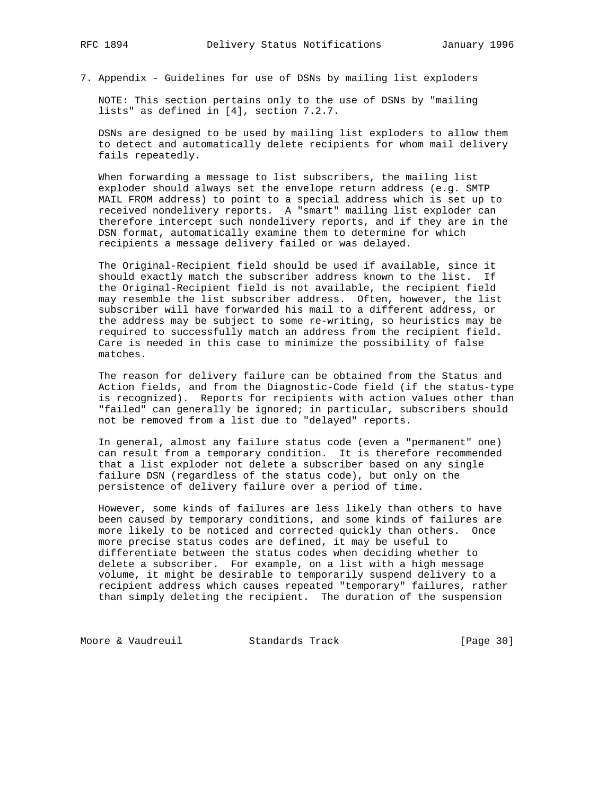7. Appendix - Guidelines for use of DSNs by mailing list exploders

 NOTE: This section pertains only to the use of DSNs by "mailing lists" as defined in [4], section 7.2.7.

 DSNs are designed to be used by mailing list exploders to allow them to detect and automatically delete recipients for whom mail delivery fails repeatedly.

 When forwarding a message to list subscribers, the mailing list exploder should always set the envelope return address (e.g. SMTP MAIL FROM address) to point to a special address which is set up to received nondelivery reports. A "smart" mailing list exploder can therefore intercept such nondelivery reports, and if they are in the DSN format, automatically examine them to determine for which recipients a message delivery failed or was delayed.

 The Original-Recipient field should be used if available, since it should exactly match the subscriber address known to the list. If the Original-Recipient field is not available, the recipient field may resemble the list subscriber address. Often, however, the list subscriber will have forwarded his mail to a different address, or the address may be subject to some re-writing, so heuristics may be required to successfully match an address from the recipient field. Care is needed in this case to minimize the possibility of false matches.

 The reason for delivery failure can be obtained from the Status and Action fields, and from the Diagnostic-Code field (if the status-type is recognized). Reports for recipients with action values other than "failed" can generally be ignored; in particular, subscribers should not be removed from a list due to "delayed" reports.

 In general, almost any failure status code (even a "permanent" one) can result from a temporary condition. It is therefore recommended that a list exploder not delete a subscriber based on any single failure DSN (regardless of the status code), but only on the persistence of delivery failure over a period of time.

 However, some kinds of failures are less likely than others to have been caused by temporary conditions, and some kinds of failures are more likely to be noticed and corrected quickly than others. Once more precise status codes are defined, it may be useful to differentiate between the status codes when deciding whether to delete a subscriber. For example, on a list with a high message volume, it might be desirable to temporarily suspend delivery to a recipient address which causes repeated "temporary" failures, rather than simply deleting the recipient. The duration of the suspension

Moore & Vaudreuil Standards Track [Page 30]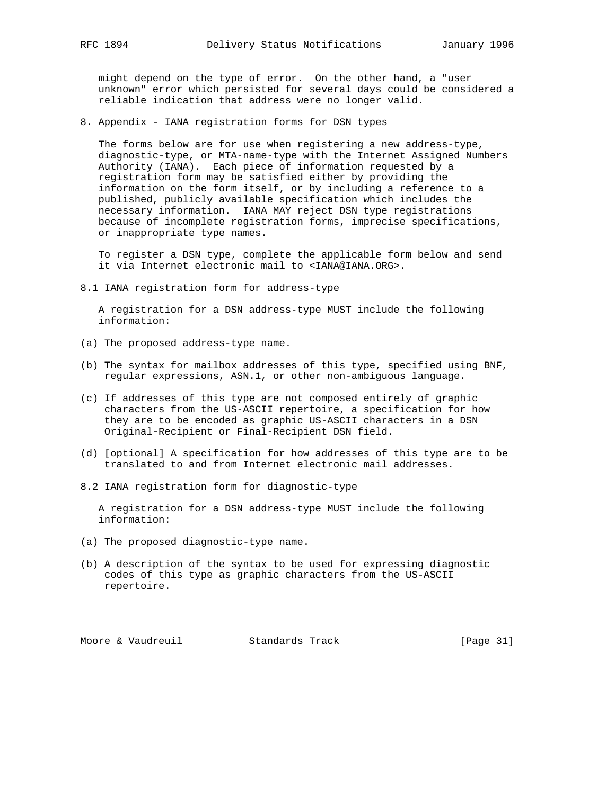might depend on the type of error. On the other hand, a "user unknown" error which persisted for several days could be considered a reliable indication that address were no longer valid.

8. Appendix - IANA registration forms for DSN types

 The forms below are for use when registering a new address-type, diagnostic-type, or MTA-name-type with the Internet Assigned Numbers Authority (IANA). Each piece of information requested by a registration form may be satisfied either by providing the information on the form itself, or by including a reference to a published, publicly available specification which includes the necessary information. IANA MAY reject DSN type registrations because of incomplete registration forms, imprecise specifications, or inappropriate type names.

 To register a DSN type, complete the applicable form below and send it via Internet electronic mail to <IANA@IANA.ORG>.

8.1 IANA registration form for address-type

 A registration for a DSN address-type MUST include the following information:

- (a) The proposed address-type name.
- (b) The syntax for mailbox addresses of this type, specified using BNF, regular expressions, ASN.1, or other non-ambiguous language.
- (c) If addresses of this type are not composed entirely of graphic characters from the US-ASCII repertoire, a specification for how they are to be encoded as graphic US-ASCII characters in a DSN Original-Recipient or Final-Recipient DSN field.
- (d) [optional] A specification for how addresses of this type are to be translated to and from Internet electronic mail addresses.
- 8.2 IANA registration form for diagnostic-type

 A registration for a DSN address-type MUST include the following information:

- (a) The proposed diagnostic-type name.
- (b) A description of the syntax to be used for expressing diagnostic codes of this type as graphic characters from the US-ASCII repertoire.

Moore & Vaudreuil Standards Track [Page 31]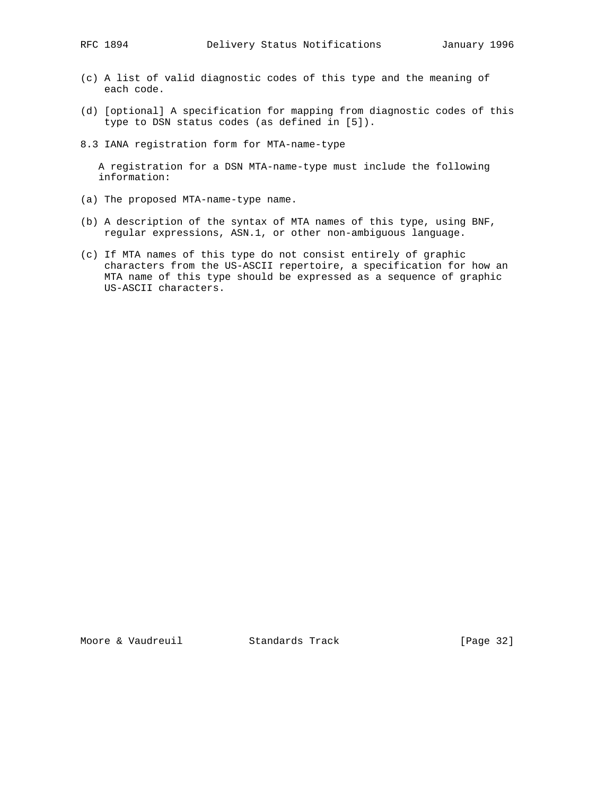- (c) A list of valid diagnostic codes of this type and the meaning of each code.
- (d) [optional] A specification for mapping from diagnostic codes of this type to DSN status codes (as defined in [5]).
- 8.3 IANA registration form for MTA-name-type

 A registration for a DSN MTA-name-type must include the following information:

- (a) The proposed MTA-name-type name.
- (b) A description of the syntax of MTA names of this type, using BNF, regular expressions, ASN.1, or other non-ambiguous language.
- (c) If MTA names of this type do not consist entirely of graphic characters from the US-ASCII repertoire, a specification for how an MTA name of this type should be expressed as a sequence of graphic US-ASCII characters.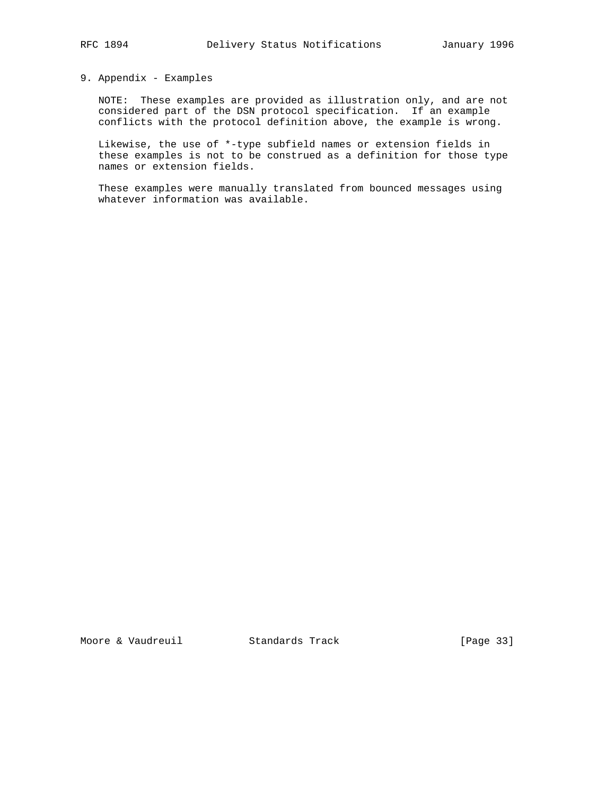# 9. Appendix - Examples

 NOTE: These examples are provided as illustration only, and are not considered part of the DSN protocol specification. If an example conflicts with the protocol definition above, the example is wrong.

 Likewise, the use of \*-type subfield names or extension fields in these examples is not to be construed as a definition for those type names or extension fields.

 These examples were manually translated from bounced messages using whatever information was available.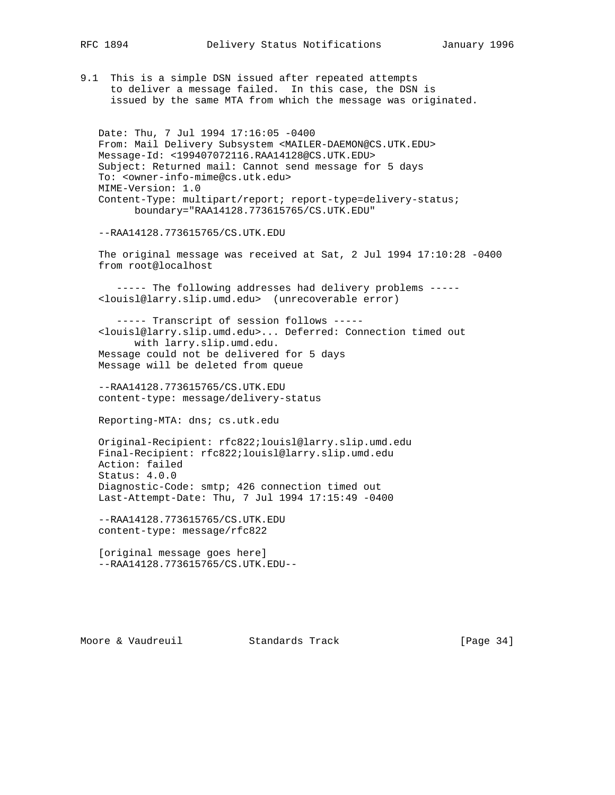9.1 This is a simple DSN issued after repeated attempts to deliver a message failed. In this case, the DSN is issued by the same MTA from which the message was originated.

 Date: Thu, 7 Jul 1994 17:16:05 -0400 From: Mail Delivery Subsystem <MAILER-DAEMON@CS.UTK.EDU> Message-Id: <199407072116.RAA14128@CS.UTK.EDU> Subject: Returned mail: Cannot send message for 5 days To: <owner-info-mime@cs.utk.edu> MIME-Version: 1.0 Content-Type: multipart/report; report-type=delivery-status; boundary="RAA14128.773615765/CS.UTK.EDU"

--RAA14128.773615765/CS.UTK.EDU

 The original message was received at Sat, 2 Jul 1994 17:10:28 -0400 from root@localhost

 ----- The following addresses had delivery problems ----- <louisl@larry.slip.umd.edu> (unrecoverable error)

 ----- Transcript of session follows ----- <louisl@larry.slip.umd.edu>... Deferred: Connection timed out with larry.slip.umd.edu. Message could not be delivered for 5 days Message will be deleted from queue

 --RAA14128.773615765/CS.UTK.EDU content-type: message/delivery-status

Reporting-MTA: dns; cs.utk.edu

 Original-Recipient: rfc822;louisl@larry.slip.umd.edu Final-Recipient: rfc822;louisl@larry.slip.umd.edu Action: failed Status: 4.0.0 Diagnostic-Code: smtp; 426 connection timed out Last-Attempt-Date: Thu, 7 Jul 1994 17:15:49 -0400

 --RAA14128.773615765/CS.UTK.EDU content-type: message/rfc822

 [original message goes here] --RAA14128.773615765/CS.UTK.EDU--

Moore & Vaudreuil **Standards Track** [Page 34]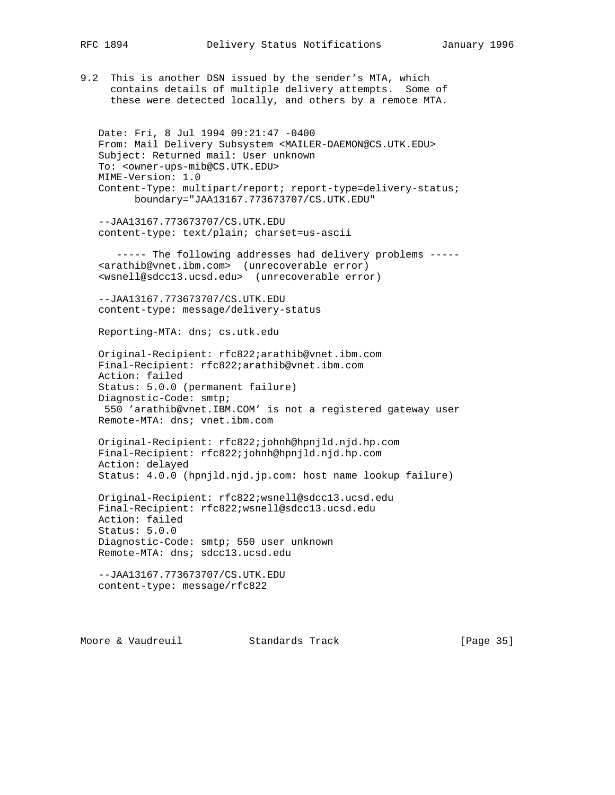9.2 This is another DSN issued by the sender's MTA, which contains details of multiple delivery attempts. Some of these were detected locally, and others by a remote MTA.

 Date: Fri, 8 Jul 1994 09:21:47 -0400 From: Mail Delivery Subsystem <MAILER-DAEMON@CS.UTK.EDU> Subject: Returned mail: User unknown To: <owner-ups-mib@CS.UTK.EDU> MIME-Version: 1.0 Content-Type: multipart/report; report-type=delivery-status; boundary="JAA13167.773673707/CS.UTK.EDU"

 --JAA13167.773673707/CS.UTK.EDU content-type: text/plain; charset=us-ascii

 ----- The following addresses had delivery problems ----- <arathib@vnet.ibm.com> (unrecoverable error) <wsnell@sdcc13.ucsd.edu> (unrecoverable error)

 --JAA13167.773673707/CS.UTK.EDU content-type: message/delivery-status

Reporting-MTA: dns; cs.utk.edu

 Original-Recipient: rfc822;arathib@vnet.ibm.com Final-Recipient: rfc822;arathib@vnet.ibm.com Action: failed Status: 5.0.0 (permanent failure) Diagnostic-Code: smtp; 550 'arathib@vnet.IBM.COM' is not a registered gateway user Remote-MTA: dns; vnet.ibm.com

 Original-Recipient: rfc822;johnh@hpnjld.njd.hp.com Final-Recipient: rfc822;johnh@hpnjld.njd.hp.com Action: delayed Status: 4.0.0 (hpnjld.njd.jp.com: host name lookup failure)

 Original-Recipient: rfc822;wsnell@sdcc13.ucsd.edu Final-Recipient: rfc822;wsnell@sdcc13.ucsd.edu Action: failed Status: 5.0.0 Diagnostic-Code: smtp; 550 user unknown Remote-MTA: dns; sdcc13.ucsd.edu

 --JAA13167.773673707/CS.UTK.EDU content-type: message/rfc822

Moore & Vaudreuil Standards Track [Page 35]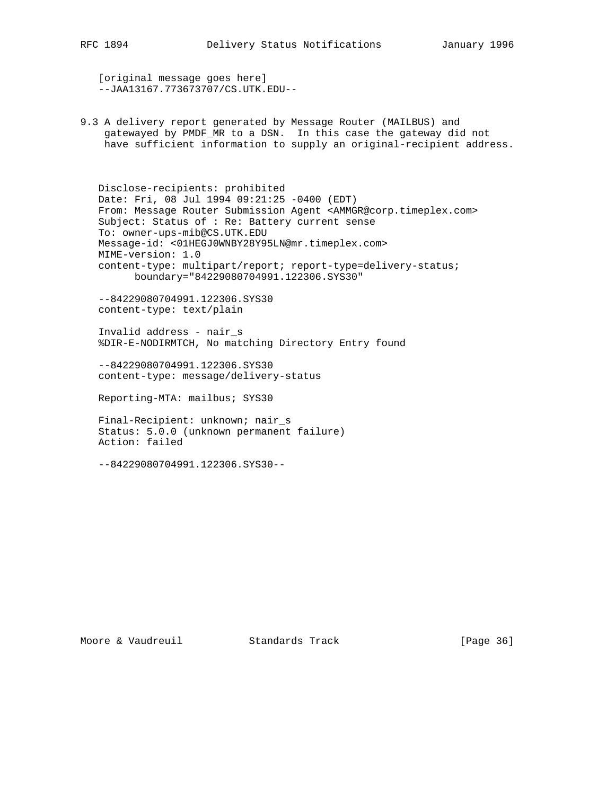[original message goes here] --JAA13167.773673707/CS.UTK.EDU--

9.3 A delivery report generated by Message Router (MAILBUS) and gatewayed by PMDF\_MR to a DSN. In this case the gateway did not have sufficient information to supply an original-recipient address.

 Disclose-recipients: prohibited Date: Fri, 08 Jul 1994 09:21:25 -0400 (EDT) From: Message Router Submission Agent <AMMGR@corp.timeplex.com> Subject: Status of : Re: Battery current sense To: owner-ups-mib@CS.UTK.EDU Message-id: <01HEGJ0WNBY28Y95LN@mr.timeplex.com> MIME-version: 1.0 content-type: multipart/report; report-type=delivery-status; boundary="84229080704991.122306.SYS30"

 --84229080704991.122306.SYS30 content-type: text/plain

 Invalid address - nair\_s %DIR-E-NODIRMTCH, No matching Directory Entry found

 --84229080704991.122306.SYS30 content-type: message/delivery-status

Reporting-MTA: mailbus; SYS30

 Final-Recipient: unknown; nair\_s Status: 5.0.0 (unknown permanent failure) Action: failed

--84229080704991.122306.SYS30--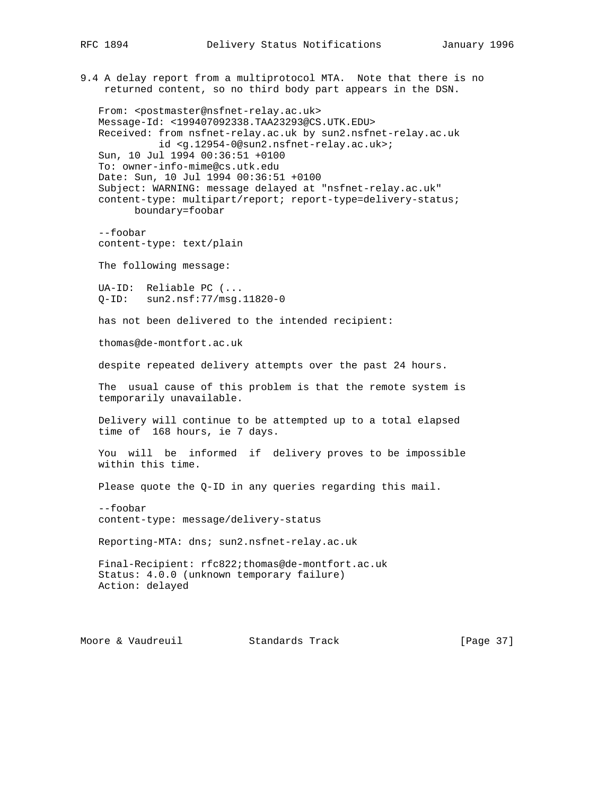9.4 A delay report from a multiprotocol MTA. Note that there is no returned content, so no third body part appears in the DSN. From: <postmaster@nsfnet-relay.ac.uk> Message-Id: <199407092338.TAA23293@CS.UTK.EDU> Received: from nsfnet-relay.ac.uk by sun2.nsfnet-relay.ac.uk id <g.12954-0@sun2.nsfnet-relay.ac.uk>; Sun, 10 Jul 1994 00:36:51 +0100 To: owner-info-mime@cs.utk.edu Date: Sun, 10 Jul 1994 00:36:51 +0100 Subject: WARNING: message delayed at "nsfnet-relay.ac.uk" content-type: multipart/report; report-type=delivery-status; boundary=foobar --foobar content-type: text/plain The following message: UA-ID: Reliable PC (... Q-ID: sun2.nsf:77/msg.11820-0 has not been delivered to the intended recipient: thomas@de-montfort.ac.uk despite repeated delivery attempts over the past 24 hours. The usual cause of this problem is that the remote system is temporarily unavailable. Delivery will continue to be attempted up to a total elapsed time of 168 hours, ie 7 days. You will be informed if delivery proves to be impossible within this time. Please quote the Q-ID in any queries regarding this mail. --foobar content-type: message/delivery-status Reporting-MTA: dns; sun2.nsfnet-relay.ac.uk Final-Recipient: rfc822;thomas@de-montfort.ac.uk Status: 4.0.0 (unknown temporary failure) Action: delayed Moore & Vaudreuil **Standards Track** [Page 37]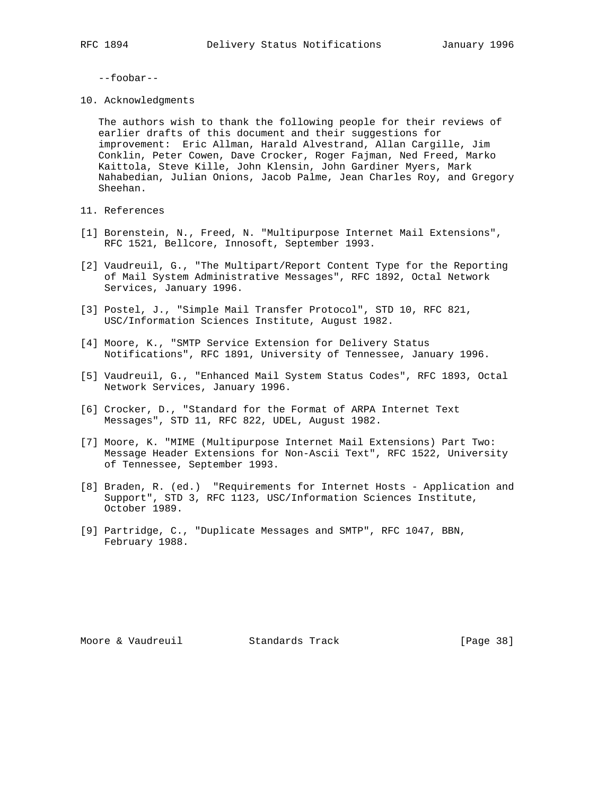--foobar--

10. Acknowledgments

 The authors wish to thank the following people for their reviews of earlier drafts of this document and their suggestions for improvement: Eric Allman, Harald Alvestrand, Allan Cargille, Jim Conklin, Peter Cowen, Dave Crocker, Roger Fajman, Ned Freed, Marko Kaittola, Steve Kille, John Klensin, John Gardiner Myers, Mark Nahabedian, Julian Onions, Jacob Palme, Jean Charles Roy, and Gregory Sheehan.

- 11. References
- [1] Borenstein, N., Freed, N. "Multipurpose Internet Mail Extensions", RFC 1521, Bellcore, Innosoft, September 1993.
- [2] Vaudreuil, G., "The Multipart/Report Content Type for the Reporting of Mail System Administrative Messages", RFC 1892, Octal Network Services, January 1996.
- [3] Postel, J., "Simple Mail Transfer Protocol", STD 10, RFC 821, USC/Information Sciences Institute, August 1982.
- [4] Moore, K., "SMTP Service Extension for Delivery Status Notifications", RFC 1891, University of Tennessee, January 1996.
- [5] Vaudreuil, G., "Enhanced Mail System Status Codes", RFC 1893, Octal Network Services, January 1996.
- [6] Crocker, D., "Standard for the Format of ARPA Internet Text Messages", STD 11, RFC 822, UDEL, August 1982.
- [7] Moore, K. "MIME (Multipurpose Internet Mail Extensions) Part Two: Message Header Extensions for Non-Ascii Text", RFC 1522, University of Tennessee, September 1993.
- [8] Braden, R. (ed.) "Requirements for Internet Hosts Application and Support", STD 3, RFC 1123, USC/Information Sciences Institute, October 1989.
- [9] Partridge, C., "Duplicate Messages and SMTP", RFC 1047, BBN, February 1988.

Moore & Vaudreuil **Standards Track** [Page 38]